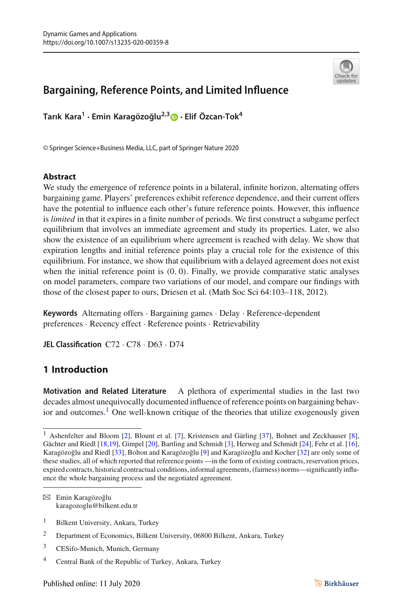

# **Bargaining, Reference Points, and Limited Influence**

**Tarık Kara<sup>1</sup> · Emin Karagözo ˘glu2,[3](http://orcid.org/0000-0003-2442-6949) · Elif Özcan-Tok4**

© Springer Science+Business Media, LLC, part of Springer Nature 2020

### **Abstract**

We study the emergence of reference points in a bilateral, infinite horizon, alternating offers bargaining game. Players' preferences exhibit reference dependence, and their current offers have the potential to influence each other's future reference points. However, this influence is *limited* in that it expires in a finite number of periods. We first construct a subgame perfect equilibrium that involves an immediate agreement and study its properties. Later, we also show the existence of an equilibrium where agreement is reached with delay. We show that expiration lengths and initial reference points play a crucial role for the existence of this equilibrium. For instance, we show that equilibrium with a delayed agreement does not exist when the initial reference point is  $(0, 0)$ . Finally, we provide comparative static analyses on model parameters, compare two variations of our model, and compare our findings with those of the closest paper to ours, Driesen et al. (Math Soc Sci 64:103–118, 2012).

**Keywords** Alternating offers · Bargaining games · Delay · Reference-dependent preferences · Recency effect · Reference points · Retrievability

**JEL Classification** C72 · C78 · D63 · D74

## **1 Introduction**

**Motivation and Related Literature** A plethora of experimental studies in the last two decades almost unequivocally documented influence of reference points on bargaining behavior and outcomes.<sup>1</sup> One well-known critique of the theories that utilize exogenously given

 $\boxtimes$  Emin Karagözoğlu karagozoglu@bilkent.edu.tr

<sup>&</sup>lt;sup>1</sup> Ashenfelter and Bloom [\[2\]](#page-35-0), Blount et al. [\[7\]](#page-35-1), Kristensen and Gärling [\[37](#page-36-0)], Bohnet and Zeckhauser [\[8](#page-35-2)], Gächter and Riedl [\[18](#page-35-3)[,19](#page-35-4)], Gimpel [\[20\]](#page-35-5), Bartling and Schmidt [\[3](#page-35-6)], Herweg and Schmidt [\[24\]](#page-35-7), Fehr et al. [\[16](#page-35-8)], Karagözoğlu and Riedl [\[33](#page-36-1)], Bolton and Karagözoğlu [\[9](#page-35-9)] and Karagözoğlu and Kocher [\[32\]](#page-36-2) are only some of these studies, all of which reported that reference points —in the form of existing contracts, reservation prices, expired contracts, historical contractual conditions, informal agreements, (fairness) norms—significantly influence the whole bargaining process and the negotiated agreement.

<sup>&</sup>lt;sup>1</sup> Bilkent University, Ankara, Turkey

<sup>2</sup> Department of Economics, Bilkent University, 06800 Bilkent, Ankara, Turkey

<sup>3</sup> CESifo-Munich, Munich, Germany

<sup>4</sup> Central Bank of the Republic of Turkey, Ankara, Turkey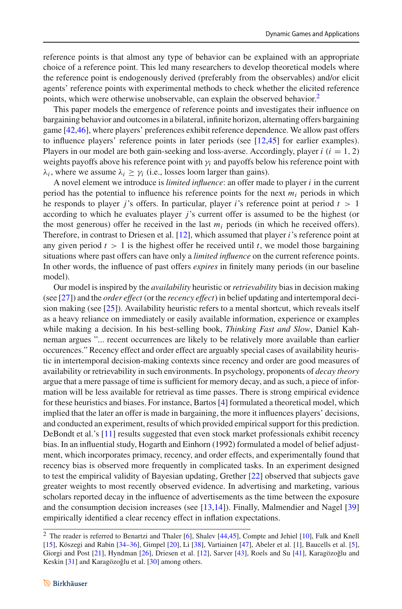reference points is that almost any type of behavior can be explained with an appropriate choice of a reference point. This led many researchers to develop theoretical models where the reference point is endogenously derived (preferably from the observables) and/or elicit agents' reference points with experimental methods to check whether the elicited reference points, which were otherwise unobservable, can explain the observed behavior.<sup>2</sup>

This paper models the emergence of reference points and investigates their influence on bargaining behavior and outcomes in a bilateral, infinite horizon, alternating offers bargaining game [\[42](#page-36-3)[,46\]](#page-36-4), where players' preferences exhibit reference dependence. We allow past offers to influence players' reference points in later periods (see [\[12](#page-35-10)[,45\]](#page-36-5) for earlier examples). Players in our model are both gain-seeking and loss-averse. Accordingly, player  $i$  ( $i = 1, 2$ ) weights payoffs above his reference point with  $\gamma_i$  and payoffs below his reference point with  $\lambda_i$ , where we assume  $\lambda_i > \gamma_i$  (i.e., losses loom larger than gains).

A novel element we introduce is *limited influence*: an offer made to player *i* in the current period has the potential to influence his reference points for the next *mi* periods in which he responds to player *j*'s offers. In particular, player *i*'s reference point at period  $t > 1$ according to which he evaluates player *j*'s current offer is assumed to be the highest (or the most generous) offer he received in the last  $m_i$  periods (in which he received offers). Therefore, in contrast to Driesen et al. [\[12](#page-35-10)], which assumed that player *i*'s reference point at any given period  $t > 1$  is the highest offer he received until  $t$ , we model those bargaining situations where past offers can have only a *limited influence* on the current reference points. In other words, the influence of past offers *expires* in finitely many periods (in our baseline model).

Our model is inspired by the *availability* heuristic or*retrievability* bias in decision making (see [\[27\]](#page-35-11)) and the *order effect* (or the *recency effect*) in belief updating and intertemporal decision making (see [\[25\]](#page-35-12)). Availability heuristic refers to a mental shortcut, which reveals itself as a heavy reliance on immediately or easily available information, experience or examples while making a decision. In his best-selling book, *Thinking Fast and Slow*, Daniel Kahneman argues "... recent occurrences are likely to be relatively more available than earlier occurences." Recency effect and order effect are arguably special cases of availability heuristic in intertemporal decision-making contexts since recency and order are good measures of availability or retrievability in such environments. In psychology, proponents of *decay theory* argue that a mere passage of time is sufficient for memory decay, and as such, a piece of information will be less available for retrieval as time passes. There is strong empirical evidence for these heuristics and biases. For instance, Bartos [\[4](#page-35-13)] formulated a theoretical model, which implied that the later an offer is made in bargaining, the more it influences players' decisions, and conducted an experiment, results of which provided empirical support for this prediction. DeBondt et al.'s [\[11](#page-35-14)] results suggested that even stock market professionals exhibit recency bias. In an influential study, Hogarth and Einhorn (1992) formulated a model of belief adjustment, which incorporates primacy, recency, and order effects, and experimentally found that recency bias is observed more frequently in complicated tasks. In an experiment designed to test the empirical validity of Bayesian updating, Grether [\[22](#page-35-15)] observed that subjects gave greater weights to most recently observed evidence. In advertising and marketing, various scholars reported decay in the influence of advertisements as the time between the exposure and the consumption decision increases (see  $[13,14]$  $[13,14]$ ). Finally, Malmendier and Nagel  $[39]$ empirically identified a clear recency effect in inflation expectations.

<span id="page-1-0"></span><sup>2</sup> The reader is referred to Benartzi and Thaler [\[6](#page-35-18)], Shalev [\[44](#page-36-7)[,45\]](#page-36-5), Compte and Jehiel [\[10](#page-35-19)], Falk and Knell [\[15\]](#page-35-20), Köszegi and Rabin [\[34](#page-36-8)[–36\]](#page-36-9), Gimpel [\[20](#page-35-5)], Li [\[38](#page-36-10)], Vartiainen [\[47](#page-36-11)], Abeler et al. [\[1\]](#page-35-21), Baucells et al. [\[5](#page-35-22)], Giorgi and Post [\[21](#page-35-23)], Hyndman [\[26\]](#page-35-24), Driesen et al. [\[12](#page-35-10)], Sarver [\[43](#page-36-12)], Roels and Su [\[41\]](#page-36-13), Karagözoğlu and Keskin [\[31](#page-36-14)] and Karagözoğlu et al. [\[30\]](#page-36-15) among others.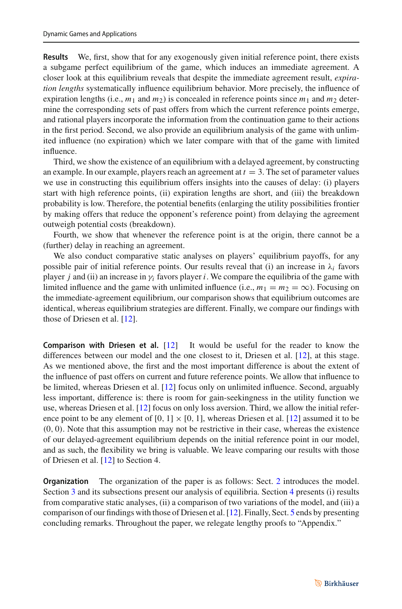**Results** We, first, show that for any exogenously given initial reference point, there exists a subgame perfect equilibrium of the game, which induces an immediate agreement. A closer look at this equilibrium reveals that despite the immediate agreement result, *expiration lengths* systematically influence equilibrium behavior. More precisely, the influence of expiration lengths (i.e.,  $m_1$  and  $m_2$ ) is concealed in reference points since  $m_1$  and  $m_2$  determine the corresponding sets of past offers from which the current reference points emerge, and rational players incorporate the information from the continuation game to their actions in the first period. Second, we also provide an equilibrium analysis of the game with unlimited influence (no expiration) which we later compare with that of the game with limited influence.

Third, we show the existence of an equilibrium with a delayed agreement, by constructing an example. In our example, players reach an agreement at  $t = 3$ . The set of parameter values we use in constructing this equilibrium offers insights into the causes of delay: (i) players start with high reference points, (ii) expiration lengths are short, and (iii) the breakdown probability is low. Therefore, the potential benefits (enlarging the utility possibilities frontier by making offers that reduce the opponent's reference point) from delaying the agreement outweigh potential costs (breakdown).

Fourth, we show that whenever the reference point is at the origin, there cannot be a (further) delay in reaching an agreement.

We also conduct comparative static analyses on players' equilibrium payoffs, for any possible pair of initial reference points. Our results reveal that (i) an increase in  $\lambda_i$  favors player *j* and (ii) an increase in  $\gamma_i$  favors player *i*. We compare the equilibria of the game with limited influence and the game with unlimited influence (i.e.,  $m_1 = m_2 = \infty$ ). Focusing on the immediate-agreement equilibrium, our comparison shows that equilibrium outcomes are identical, whereas equilibrium strategies are different. Finally, we compare our findings with those of Driesen et al. [\[12\]](#page-35-10).

**Comparison with Driesen et al.** [\[12](#page-35-10)] It would be useful for the reader to know the differences between our model and the one closest to it, Driesen et al. [\[12\]](#page-35-10), at this stage. As we mentioned above, the first and the most important difference is about the extent of the influence of past offers on current and future reference points. We allow that influence to be limited, whereas Driesen et al. [\[12](#page-35-10)] focus only on unlimited influence. Second, arguably less important, difference is: there is room for gain-seekingness in the utility function we use, whereas Driesen et al. [\[12\]](#page-35-10) focus on only loss aversion. Third, we allow the initial reference point to be any element of  $[0, 1] \times [0, 1]$ , whereas Driesen et al. [\[12\]](#page-35-10) assumed it to be  $(0, 0)$ . Note that this assumption may not be restrictive in their case, whereas the existence of our delayed-agreement equilibrium depends on the initial reference point in our model, and as such, the flexibility we bring is valuable. We leave comparing our results with those of Driesen et al. [\[12\]](#page-35-10) to Section 4.

**Organization** The organization of the paper is as follows: Sect. [2](#page-3-0) introduces the model. Section [3](#page-4-0) and its subsections present our analysis of equilibria. Section [4](#page-10-0) presents (i) results from comparative static analyses, (ii) a comparison of two variations of the model, and (iii) a comparison of our findings with those of Driesen et al. [\[12](#page-35-10)]. Finally, Sect. [5](#page-12-0) ends by presenting concluding remarks. Throughout the paper, we relegate lengthy proofs to "Appendix."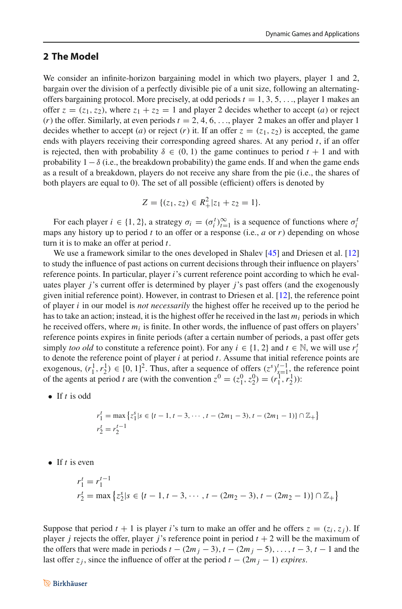### <span id="page-3-0"></span>**2 The Model**

We consider an infinite-horizon bargaining model in which two players, player 1 and 2, bargain over the division of a perfectly divisible pie of a unit size, following an alternatingoffers bargaining protocol. More precisely, at odd periods  $t = 1, 3, 5, \ldots$ , player 1 makes an offer  $z = (z_1, z_2)$ , where  $z_1 + z_2 = 1$  and player 2 decides whether to accept (*a*) or reject  $(r)$  the offer. Similarly, at even periods  $t = 2, 4, 6, \ldots$ , player 2 makes an offer and player 1 decides whether to accept (*a*) or reject (*r*) it. If an offer  $z = (z_1, z_2)$  is accepted, the game ends with players receiving their corresponding agreed shares. At any period *t*, if an offer is rejected, then with probability  $\delta \in (0, 1)$  the game continues to period  $t + 1$  and with probability  $1-\delta$  (i.e., the breakdown probability) the game ends. If and when the game ends as a result of a breakdown, players do not receive any share from the pie (i.e., the shares of both players are equal to 0). The set of all possible (efficient) offers is denoted by

$$
Z = \{(z_1, z_2) \in R_+^2 | z_1 + z_2 = 1\}.
$$

For each player  $i \in \{1, 2\}$ , a strategy  $\sigma_i = (\sigma_i^t)_{i=1}^{\infty}$  is a sequence of functions where  $\sigma_i^t$ maps any history up to period *t* to an offer or a response (i.e., *a* or *r*) depending on whose turn it is to make an offer at period *t*.

We use a framework similar to the ones developed in Shalev [\[45\]](#page-36-5) and Driesen et al. [\[12\]](#page-35-10) to study the influence of past actions on current decisions through their influence on players' reference points. In particular, player *i*'s current reference point according to which he evaluates player *j*'s current offer is determined by player *j*'s past offers (and the exogenously given initial reference point). However, in contrast to Driesen et al. [\[12](#page-35-10)], the reference point of player *i* in our model is *not necessarily* the highest offer he received up to the period he has to take an action; instead, it is the highest offer he received in the last  $m_i$  periods in which he received offers, where  $m_i$  is finite. In other words, the influence of past offers on players' reference points expires in finite periods (after a certain number of periods, a past offer gets simply *too old* to constitute a reference point). For any  $i \in \{1, 2\}$  and  $t \in \mathbb{N}$ , we will use  $r_i^1$ to denote the reference point of player *i* at period *t*. Assume that initial reference points are exogenous,  $(r_1^1, r_2^1) \in [0, 1]^2$ . Thus, after a sequence of offers  $(z^s)_{s=1}^{t-1}$ , the reference point of the agents at period *t* are (with the convention  $z^0 = (z_1^0, z_2^0) = (r_1^1, r_2^1)$ ):

• If *t* is odd

$$
r_1^t = \max \left\{ z_1^s | s \in \{t - 1, t - 3, \cdots, t - (2m_1 - 3), t - (2m_1 - 1) \} \cap \mathbb{Z}_+ \right\}
$$
  

$$
r_2^t = r_2^{t-1}
$$

• If *t* is even

$$
r_1^t = r_1^{t-1}
$$
  
\n
$$
r_2^t = \max \left\{ z_2^s | s \in \{t-1, t-3, \cdots, t-(2m_2-3), t-(2m_2-1)\} \cap \mathbb{Z}_+ \right\}
$$

Suppose that period  $t + 1$  is player *i*'s turn to make an offer and he offers  $z = (z_i, z_j)$ . If player *j* rejects the offer, player *j*'s reference point in period  $t + 2$  will be the maximum of the offers that were made in periods  $t - (2m_j - 3), t - (2m_j - 5), \ldots, t - 3, t - 1$  and the last offer  $z_j$ , since the influence of offer at the period  $t - (2m_j - 1)$  *expires.*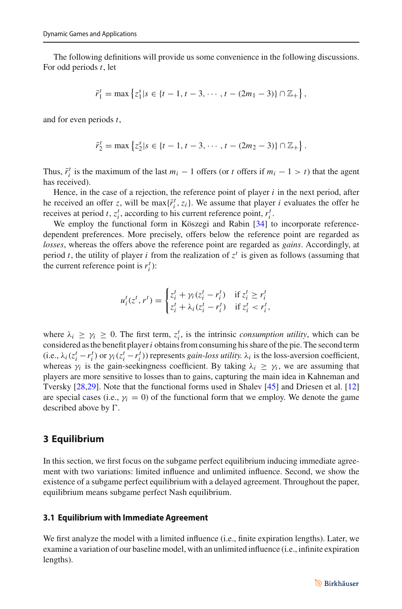The following definitions will provide us some convenience in the following discussions. For odd periods *t*, let

$$
\bar{r}_1^t = \max \left\{ z_1^s | s \in \{t-1, t-3, \cdots, t-(2m_1-3)\} \cap \mathbb{Z}_+ \right\},\
$$

and for even periods *t*,

$$
\bar{r}_2^t = \max \left\{ z_2^s | s \in \{t-1, t-3, \cdots, t-(2m_2-3)\} \cap \mathbb{Z}_+ \right\}.
$$

Thus,  $\bar{r}_i^t$  is the maximum of the last  $m_i - 1$  offers (or *t* offers if  $m_i - 1 > t$ ) that the agent has received).

Hence, in the case of a rejection, the reference point of player *i* in the next period, after he received an offer *z*, will be max $\{\bar{r}_i^t, z_i\}$ . We assume that player *i* evaluates the offer he receives at period *t*,  $z_i^t$ , according to his current reference point,  $r_i^t$ .

We employ the functional form in Köszegi and Rabin [\[34](#page-36-8)] to incorporate referencedependent preferences. More precisely, offers below the reference point are regarded as *losses*, whereas the offers above the reference point are regarded as *gains*. Accordingly, at period *t*, the utility of player *i* from the realization of  $z<sup>t</sup>$  is given as follows (assuming that the current reference point is  $r_i^t$ ):

$$
u_i^t(z^t, r^t) = \begin{cases} z_i^t + \gamma_i (z_i^t - r_i^t) & \text{if } z_i^t \ge r_i^t \\ z_i^t + \lambda_i (z_i^t - r_i^t) & \text{if } z_i^t < r_i^t, \end{cases}
$$

where  $\lambda_i \geq \gamma_i \geq 0$ . The first term,  $z_i^t$ , is the intrinsic *consumption utility*, which can be considered as the benefit player*i* obtains from consuming his share of the pie. The second term (i.e.,  $\lambda_i$  ( $z_i^t - r_i^t$ ) or  $\gamma_i$  ( $z_i^t - r_i^t$ )) represents *gain-loss utility.*  $\lambda_i$  is the loss-aversion coefficient, whereas  $\gamma_i$  is the gain-seekingness coefficient. By taking  $\lambda_i \geq \gamma_i$ , we are assuming that players are more sensitive to losses than to gains, capturing the main idea in Kahneman and Tversky [\[28](#page-36-16)[,29](#page-36-17)]. Note that the functional forms used in Shalev [\[45\]](#page-36-5) and Driesen et al. [\[12\]](#page-35-10) are special cases (i.e.,  $\gamma_i = 0$ ) of the functional form that we employ. We denote the game described above by  $\Gamma$ .

### <span id="page-4-0"></span>**3 Equilibrium**

In this section, we first focus on the subgame perfect equilibrium inducing immediate agreement with two variations: limited influence and unlimited influence. Second, we show the existence of a subgame perfect equilibrium with a delayed agreement. Throughout the paper, equilibrium means subgame perfect Nash equilibrium.

#### **3.1 Equilibrium with Immediate Agreement**

We first analyze the model with a limited influence (i.e., finite expiration lengths). Later, we examine a variation of our baseline model, with an unlimited influence (i.e., infinite expiration lengths).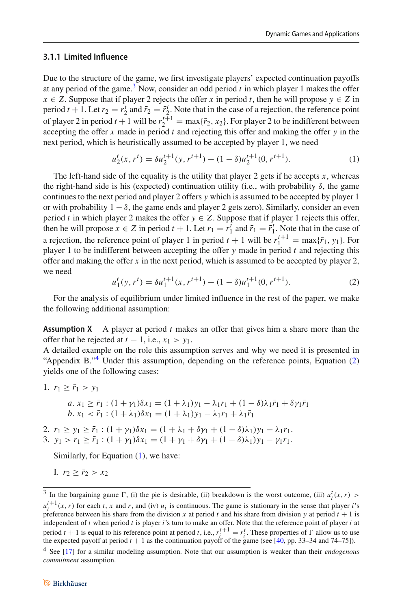#### **3.1.1 Limited Influence**

Due to the structure of the game, we first investigate players' expected continuation payoffs at any period of the game.<sup>3</sup> Now, consider an odd period  $t$  in which player 1 makes the offer  $x \in Z$ . Suppose that if player 2 rejects the offer *x* in period *t*, then he will propose  $y \in Z$  in period  $t + 1$ . Let  $r_2 = r_2^t$  and  $\bar{r}_2 = \bar{r}_2^t$ . Note that in the case of a rejection, the reference point of player 2 in period  $t + 1$  will be  $r_2^{t+1} = \max{\{\bar{r}_2, x_2\}}$ . For player 2 to be indifferent between accepting the offer *x* made in period *t* and rejecting this offer and making the offer *y* in the next period, which is heuristically assumed to be accepted by player 1, we need

<span id="page-5-3"></span>
$$
u_2^t(x, r^t) = \delta u_2^{t+1}(y, r^{t+1}) + (1 - \delta)u_2^{t+1}(0, r^{t+1}).
$$
\n(1)

The left-hand side of the equality is the utility that player 2 gets if he accepts  $x$ , whereas the right-hand side is his (expected) continuation utility (i.e., with probability  $\delta$ , the game continues to the next period and player 2 offers *y* which is assumed to be accepted by player 1 or with probability  $1 - \delta$ , the game ends and player 2 gets zero). Similarly, consider an even period *t* in which player 2 makes the offer  $y \in Z$ . Suppose that if player 1 rejects this offer, then he will propose  $x \in Z$  in period  $t + 1$ . Let  $r_1 = r_1^t$  and  $\bar{r}_1 = \bar{r}_1^t$ . Note that in the case of a rejection, the reference point of player 1 in period  $t + 1$  will be  $r_1^{t+1} = \max{\{\bar{r}_1, y_1\}}$ . For player 1 to be indifferent between accepting the offer  $y$  made in period  $t$  and rejecting this offer and making the offer  $x$  in the next period, which is assumed to be accepted by player 2, we need

<span id="page-5-2"></span>
$$
u_1^t(y, r^t) = \delta u_1^{t+1}(x, r^{t+1}) + (1 - \delta)u_1^{t+1}(0, r^{t+1}).
$$
\n(2)

For the analysis of equilibrium under limited influence in the rest of the paper, we make the following additional assumption:

**Assumption X** A player at period *t* makes an offer that gives him a share more than the offer that he rejected at  $t - 1$ , i.e.,  $x_1 > y_1$ .

A detailed example on the role this assumption serves and why we need it is presented in "Appendix B."<sup>[4](#page-5-1)</sup> Under this assumption, depending on the reference points, Equation [\(2\)](#page-5-2) yields one of the following cases:

1.  $r_1 \geq \bar{r}_1 > y_1$ 

$$
a. x_1 \ge \bar{r}_1 : (1 + \gamma_1)\delta x_1 = (1 + \lambda_1)y_1 - \lambda_1 r_1 + (1 - \delta)\lambda_1 \bar{r}_1 + \delta \gamma_1 \bar{r}_1
$$
  

$$
b. x_1 < \bar{r}_1 : (1 + \lambda_1)\delta x_1 = (1 + \lambda_1)y_1 - \lambda_1 r_1 + \lambda_1 \bar{r}_1
$$

2.  $r_1 \ge y_1 \ge \bar{r}_1$ :  $(1 + \gamma_1)\delta x_1 = (1 + \lambda_1 + \delta \gamma_1 + (1 - \delta)\lambda_1)y_1 - \lambda_1 r_1$ . 3.  $y_1 > r_1 \geq \bar{r}_1$ :  $(1 + \gamma_1)\delta x_1 = (1 + \gamma_1 + \delta \gamma_1 + (1 - \delta)\lambda_1)y_1 - \gamma_1 r_1$ .

Similarly, for Equation [\(1\)](#page-5-3), we have:

I.  $r_2 > \bar{r}_2 > x_2$ 

<span id="page-5-0"></span><sup>&</sup>lt;sup>3</sup> In the bargaining game  $\Gamma$ , (i) the pie is desirable, (ii) breakdown is the worst outcome, (iii)  $u_i^t(x, r)$  >  $u_i^{t+1}(x, r)$  for each *t*, *x* and *r*, and (iv)  $u_i$  is continuous. The game is stationary in the sense that player *i*'s preference between his share from the division x at period t and his share from division y at period  $t + 1$  is independent of *t* when period *t* is player *i*'s turn to make an offer. Note that the reference point of player *i* at period  $t + 1$  is equal to his reference point at period *t*, i.e.,  $r_i^{t+1} = r_i^t$ . These properties of  $\Gamma$  allow us to use the expected payoff at period  $t + 1$  as the continuation payoff of the game (see [\[40](#page-36-18), pp. 33–34 and 74–75]).

<span id="page-5-1"></span><sup>4</sup> See [\[17](#page-35-25)] for a similar modeling assumption. Note that our assumption is weaker than their *endogenous commitment* assumption.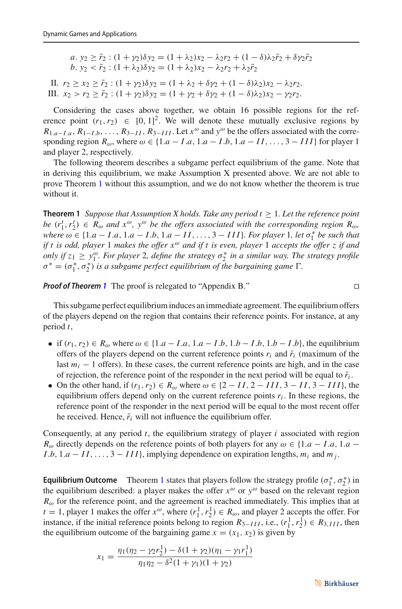$a. y_2 \geq \bar{r}_2$ :  $(1 + \gamma_2)\delta y_2 = (1 + \lambda_2)x_2 - \lambda_2r_2 + (1 - \delta)\lambda_2\bar{r}_2 + \delta\gamma_2\bar{r}_2$  $b. y_2 < \bar{r}_2$ :  $(1 + \lambda_2)\delta y_2 = (1 + \lambda_2)x_2 - \lambda_2r_2 + \lambda_2\bar{r}_2$ 

II.  $r_2 \ge x_2 \ge \bar{r}_2$ :  $(1 + \gamma_2)\delta y_2 = (1 + \lambda_2 + \delta y_2 + (1 - \delta)\lambda_2)x_2 - \lambda_2r_2$ . III.  $x_2 > r_2 \geq \bar{r}_2$ :  $(1 + \gamma_2)\delta y_2 = (1 + \gamma_2 + \delta \gamma_2 + (1 - \delta)\lambda_2)x_2 - \gamma_2 r_2$ .

Considering the cases above together, we obtain 16 possible regions for the reference point  $(r_1, r_2) \in [0, 1]^2$ . We will denote these mutually exclusive regions by  $R_{1,a-I,a}, R_{1-I,b}, \ldots, R_{3-II}, R_{3-II}$ . Let  $x^{\omega}$  and  $y^{\omega}$  be the offers associated with the corresponding region  $R_{\omega}$ , where  $\omega \in \{1.a - I.a, 1.a - I.b, 1.a - II, ..., 3 - III\}$  for player 1 and player 2, respectively.

The following theorem describes a subgame perfect equilibrium of the game. Note that in deriving this equilibrium, we make Assumption X presented above. We are not able to prove Theorem [1](#page-6-0) without this assumption, and we do not know whether the theorem is true without it.

<span id="page-6-0"></span>**Theorem 1** *Suppose that Assumption X holds. Take any period*  $t \geq 1$ *. Let the reference point be*  $(r_1^t, r_2^t) \in R_\omega$  *and*  $x^\omega$ ,  $y^\omega$  *be the offers associated with the corresponding region*  $R_\omega$ *,*  $where \omega \in \{1.a - I.a, 1.a - I.b, 1.a - II, \ldots, 3 - III\}$ . For player 1, let  $\sigma_1^*$  be such that *if t is odd, player* 1 *makes the offer x*<sup>ω</sup> *and if t is even, player* 1 *accepts the offer z if and only if*  $z_1 \ge y_1^{\omega}$ *. For player* 2*, define the strategy*  $\sigma_2^*$  *in a similar way. The strategy profile*  $\sigma^* = (\sigma_1^*, \sigma_2^*)$  *is a subgame perfect equilibrium of the bargaining game*  $\Gamma$ *.* 

*Proof of Theorem [1](#page-6-0)* The proof is relegated to "Appendix B."

This subgame perfect equilibrium induces an immediate agreement. The equilibrium offers of the players depend on the region that contains their reference points. For instance, at any period *t*,

- if  $(r_1, r_2) \in R_\omega$  where  $\omega \in \{1.a I.a, 1.a I.b, 1.b I.b, 1.b I.b\}$ , the equilibrium offers of the players depend on the current reference points  $r_i$  and  $\bar{r}_i$  (maximum of the last  $m_i - 1$  offers). In these cases, the current reference points are high, and in the case of rejection, the reference point of the responder in the next period will be equal to  $\bar{r}_i$ .
- On the other hand, if  $(r_1, r_2) \in R_\omega$  where  $\omega \in \{2 II, 2 III, 3 II, 3 III\}$ , the equilibrium offers depend only on the current reference points  $r_i$ . In these regions, the reference point of the responder in the next period will be equal to the most recent offer he received. Hence,  $\bar{r}_i$  will not influence the equilibrium offer.

Consequently, at any period *t*, the equilibrium strategy of player *i* associated with region *R*<sub>ω</sub> directly depends on the reference points of both players for any  $\omega \in \{1.a - I.a, 1.a - I.a\}$ *I*.*b*, 1.*a* − *II*,..., 3 − *III*}, implying dependence on expiration lengths,  $m_i$  and  $m_j$ .

**Equilibrium Outcome** Theorem [1](#page-6-0) states that players follow the strategy profile  $(\sigma_1^*, \sigma_2^*)$  in the equilibrium described: a player makes the offer  $x^{\omega}$  or  $y^{\omega}$  based on the relevant region  $R_{\omega}$  for the reference point, and the agreement is reached immediately. This implies that at  $t = 1$ , player 1 makes the offer  $x^{\omega}$ , where  $(r_1^1, r_2^1) \in R_{\omega}$ , and player 2 accepts the offer. For instance, if the initial reference points belong to region  $R_{3-III}$ , i.e.,  $(r_1^1, r_2^1) \in R_{3,III}$ , then the equilibrium outcome of the bargaining game  $x = (x_1, x_2)$  is given by

$$
x_1 = \frac{\eta_1(\eta_2 - \gamma_2 r_2^1) - \delta(1 + \gamma_2)(\eta_1 - \gamma_1 r_1^1)}{\eta_1 \eta_2 - \delta^2(1 + \gamma_1)(1 + \gamma_2)}
$$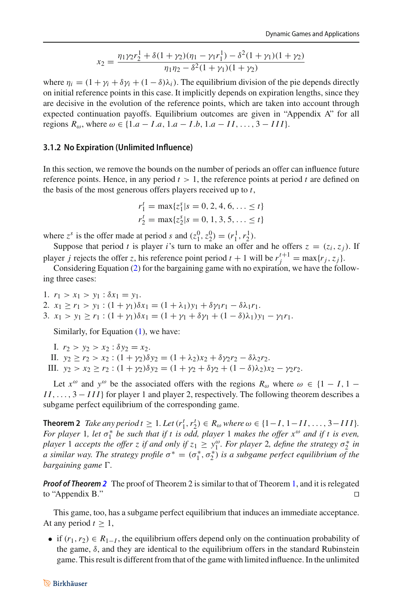$$
x_2 = \frac{\eta_1 \gamma_2 r_2^1 + \delta(1 + \gamma_2)(\eta_1 - \gamma_1 r_1^1) - \delta^2 (1 + \gamma_1)(1 + \gamma_2)}{\eta_1 \eta_2 - \delta^2 (1 + \gamma_1)(1 + \gamma_2)}
$$

where  $\eta_i = (1 + \gamma_i + \delta \gamma_i + (1 - \delta) \lambda_i)$ . The equilibrium division of the pie depends directly on initial reference points in this case. It implicitly depends on expiration lengths, since they are decisive in the evolution of the reference points, which are taken into account through expected continuation payoffs. Equilibrium outcomes are given in "Appendix A" for all regions  $R_{\omega}$ , where  $\omega \in \{1.a - I.a, 1.a - I.b, 1.a - II, ..., 3 - III\}.$ 

#### **3.1.2 No Expiration (Unlimited Influence)**

In this section, we remove the bounds on the number of periods an offer can influence future reference points. Hence, in any period  $t > 1$ , the reference points at period  $t$  are defined on the basis of the most generous offers players received up to *t*,

$$
r_1^t = \max\{z_1^s | s = 0, 2, 4, 6, \dots \le t\}
$$
  

$$
r_2^t = \max\{z_2^s | s = 0, 1, 3, 5, \dots \le t\}
$$

where  $z^s$  is the offer made at period *s* and  $(z_1^0, z_2^0) = (r_1^1, r_2^1)$ .

Suppose that period *t* is player *i*'s turn to make an offer and he offers  $z = (z_i, z_j)$ . If player *j* rejects the offer *z*, his reference point period  $t + 1$  will be  $r_j^{t+1} = \max\{r_j, z_j\}$ .

Considering Equation [\(2\)](#page-5-2) for the bargaining game with no expiration, we have the following three cases:

1.  $r_1 > x_1 > y_1 : \delta x_1 = y_1$ . 2.  $x_1 \ge r_1 > y_1$ :  $(1 + \gamma_1)\delta x_1 = (1 + \lambda_1)y_1 + \delta \gamma_1 r_1 - \delta \lambda_1 r_1$ . 3.  $x_1 > y_1 \ge r_1$ :  $(1 + \gamma_1)\delta x_1 = (1 + \gamma_1 + \delta \gamma_1 + (1 - \delta)\lambda_1)y_1 - \gamma_1 r_1$ .

Similarly, for Equation [\(1\)](#page-5-3), we have:

I.  $r_2 > y_2 > x_2 : \delta y_2 = x_2$ . II.  $y_2 \ge r_2 > x_2 : (1 + \gamma_2) \delta y_2 = (1 + \lambda_2) x_2 + \delta \gamma_2 r_2 - \delta \lambda_2 r_2$ . III.  $y_2 > x_2 \ge r_2$ :  $(1 + \gamma_2)\delta y_2 = (1 + \gamma_2 + \delta \gamma_2 + (1 - \delta)\lambda_2)x_2 - \gamma_2 r_2$ .

Let  $x^{\omega}$  and  $y^{\omega}$  be the associated offers with the regions  $R_{\omega}$  where  $\omega \in \{1 - I, 1 -$ *II*,..., 3 − *III*} for player 1 and player 2, respectively. The following theorem describes a subgame perfect equilibrium of the corresponding game.

<span id="page-7-0"></span>**Theorem 2** *Take any period t* ≥ 1*. Let*  $(r_1^t, r_2^t) \in R_\omega$  *where*  $\omega \in \{1 - I, 1 - II, ..., 3 - III\}$ *. For player* 1*, let* σ<sup>\*</sup><sub>1</sub> *be such that if t is odd, player* 1 *makes the offer x<sup>ω</sup> and if t is even, player* 1 *accepts the offer z if and only if*  $z_1 \geq y_1^{\omega}$ *. For player* 2*, define the strategy*  $\sigma_2^*$  *in a* similar way. The strategy profile  $\sigma^* = (\sigma_1^*, \sigma_2^*)$  is a subgame perfect equilibrium of the *bargaining game* Γ.

*Proof of Theorem [2](#page-7-0)* The proof of Theorem 2 is similar to that of Theorem [1,](#page-6-0) and it is relegated to "Appendix B."

This game, too, has a subgame perfect equilibrium that induces an immediate acceptance. At any period  $t \geq 1$ ,

• if  $(r_1, r_2) \in R_{1-I}$ , the equilibrium offers depend only on the continuation probability of the game,  $\delta$ , and they are identical to the equilibrium offers in the standard Rubinstein game. This result is different from that of the game with limited influence. In the unlimited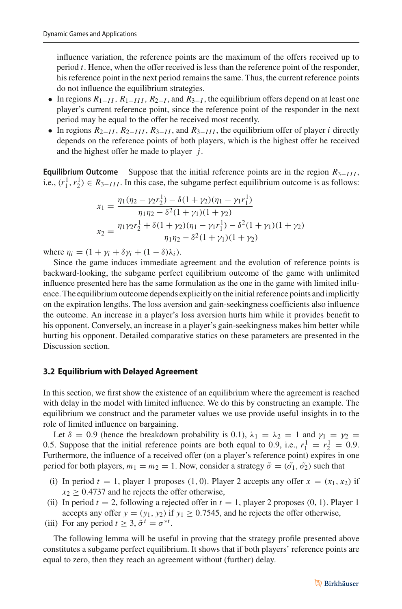influence variation, the reference points are the maximum of the offers received up to period *t*. Hence, when the offer received is less than the reference point of the responder, his reference point in the next period remains the same. Thus, the current reference points do not influence the equilibrium strategies.

- In regions  $R_{1-I}$ ,  $R_{1-I}$ ,  $R_{2-I}$ , and  $R_{3-I}$ , the equilibrium offers depend on at least one player's current reference point, since the reference point of the responder in the next period may be equal to the offer he received most recently.
- In regions  $R_{2-I}$ ,  $R_{2-I}$ ,  $R_{3-I}$ , and  $R_{3-I}$ , the equilibrium offer of player *i* directly depends on the reference points of both players, which is the highest offer he received and the highest offer he made to player *j*.

**Equilibrium Outcome** Suppose that the initial reference points are in the region *R*3−*III* , i.e.,  $(r_1^1, r_2^1) \in R_{3-III}$ . In this case, the subgame perfect equilibrium outcome is as follows:

$$
x_1 = \frac{\eta_1(\eta_2 - \gamma_2 r_2^1) - \delta(1 + \gamma_2)(\eta_1 - \gamma_1 r_1^1)}{\eta_1 \eta_2 - \delta^2(1 + \gamma_1)(1 + \gamma_2)}
$$
  

$$
x_2 = \frac{\eta_1 \gamma_2 r_2^1 + \delta(1 + \gamma_2)(\eta_1 - \gamma_1 r_1^1) - \delta^2(1 + \gamma_1)(1 + \gamma_2)}{\eta_1 \eta_2 - \delta^2(1 + \gamma_1)(1 + \gamma_2)}
$$

where  $\eta_i = (1 + \gamma_i + \delta \gamma_i + (1 - \delta) \lambda_i)$ .

Since the game induces immediate agreement and the evolution of reference points is backward-looking, the subgame perfect equilibrium outcome of the game with unlimited influence presented here has the same formulation as the one in the game with limited influence. The equilibrium outcome depends explicitly on the initial reference points and implicitly on the expiration lengths. The loss aversion and gain-seekingness coefficients also influence the outcome. An increase in a player's loss aversion hurts him while it provides benefit to his opponent. Conversely, an increase in a player's gain-seekingness makes him better while hurting his opponent. Detailed comparative statics on these parameters are presented in the Discussion section.

### **3.2 Equilibrium with Delayed Agreement**

In this section, we first show the existence of an equilibrium where the agreement is reached with delay in the model with limited influence. We do this by constructing an example. The equilibrium we construct and the parameter values we use provide useful insights in to the role of limited influence on bargaining.

Let  $\delta = 0.9$  (hence the breakdown probability is 0.1),  $\lambda_1 = \lambda_2 = 1$  and  $\gamma_1 = \gamma_2 =$ 0.5. Suppose that the initial reference points are both equal to 0.9, i.e.,  $r_1^1 = r_2^1 = 0.9$ . Furthermore, the influence of a received offer (on a player's reference point) expires in one period for both players,  $m_1 = m_2 = 1$ . Now, consider a strategy  $\tilde{\sigma} = (\tilde{\sigma_1}, \tilde{\sigma_2})$  such that

- (i) In period  $t = 1$ , player 1 proposes (1, 0). Player 2 accepts any offer  $x = (x_1, x_2)$  if  $x_2$  > 0.4737 and he rejects the offer otherwise,
- (ii) In period  $t = 2$ , following a rejected offer in  $t = 1$ , player 2 proposes (0, 1). Player 1 accepts any offer  $y = (y_1, y_2)$  if  $y_1 \ge 0.7545$ , and he rejects the offer otherwise,
- (iii) For any period  $t \geq 3$ ,  $\tilde{\sigma}^t = \sigma^{*t}$ .

<span id="page-8-0"></span>The following lemma will be useful in proving that the strategy profile presented above constitutes a subgame perfect equilibrium. It shows that if both players' reference points are equal to zero, then they reach an agreement without (further) delay.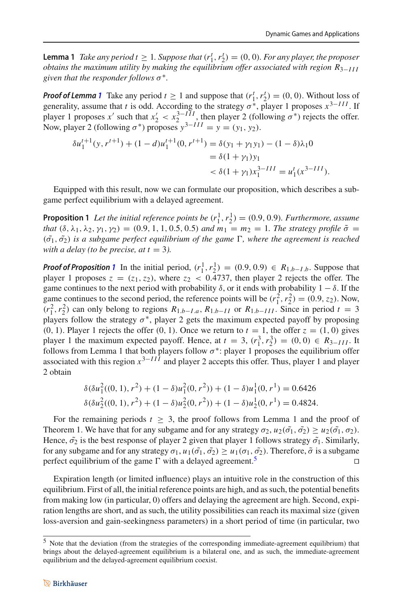**Lemma 1** *Take any period*  $t \ge 1$ *. Suppose that*  $(r_1^t, r_2^t) = (0, 0)$ *. For any player, the proposer obtains the maximum utility by making the equilibrium offer associated with region R*3−*III given that the responder follows* σ∗*.*

*Proof of Lemma* [1](#page-8-0) Take any period  $t \ge 1$  and suppose that  $(r_1^t, r_2^t) = (0, 0)$ . Without loss of generality, assume that *t* is odd. According to the strategy  $\sigma^*$ , player 1 proposes  $x^{3-III}$ . If player 1 proposes *x'* such that  $x_2' < x_2^{3-III}$ , then player 2 (following  $\sigma^*$ ) rejects the offer. Now, player 2 (following  $\sigma^*$ ) proposes  $y^{3-III} = y = (y_1, y_2)$ .

$$
\delta u_1^{t+1}(y, r^{t+1}) + (1 - d)u_1^{t+1}(0, r^{t+1}) = \delta(y_1 + \gamma_1 y_1) - (1 - \delta)\lambda_1 0
$$
  
=  $\delta(1 + \gamma_1) y_1$   
 $< \delta(1 + \gamma_1) x_1^{3-III} = u_1^t(x^{3-III}).$ 

<span id="page-9-0"></span>Equipped with this result, now we can formulate our proposition, which describes a subgame perfect equilibrium with a delayed agreement.

**Proposition 1** Let the initial reference points be  $(r_1^1, r_2^1) = (0.9, 0.9)$ . Furthermore, assume *that*  $(\delta, \lambda_1, \lambda_2, \gamma_1, \gamma_2) = (0.9, 1, 1, 0.5, 0.5)$  *and*  $m_1 = m_2 = 1$ *. The strategy profile*  $\tilde{\sigma} =$  $(\tilde{\sigma_1}, \tilde{\sigma_2})$  *is a subgame perfect equilibrium of the game*  $\Gamma$ *, where the agreement is reached with a delay (to be precise, at*  $t = 3$ *).* 

*Proof of Proposition* [1](#page-9-0) In the initial period,  $(r_1^1, r_2^1) = (0.9, 0.9) \in R_{1.b-I.b}$ . Suppose that player 1 proposes  $z = (z_1, z_2)$ , where  $z_2 < 0.4737$ , then player 2 rejects the offer. The game continues to the next period with probability  $\delta$ , or it ends with probability  $1 - \delta$ . If the game continues to the second period, the reference points will be  $(r_1^2, r_2^2) = (0.9, z_2)$ . Now,  $(r_1^2, r_2^2)$  can only belong to regions  $R_{1,b-Ia}$ ,  $R_{1,b-II}$  or  $R_{1,b-III}$ . Since in period  $t = 3$ players follow the strategy  $\sigma^*$ , player 2 gets the maximum expected payoff by proposing  $(0, 1)$ . Player 1 rejects the offer  $(0, 1)$ . Once we return to  $t = 1$ , the offer  $z = (1, 0)$  gives player 1 the maximum expected payoff. Hence, at  $t = 3$ ,  $(r_1^3, r_2^3) = (0, 0) \in R_{3-III}$ . It follows from Lemma 1 that both players follow  $\sigma^*$ : player 1 proposes the equilibrium offer associated with this region *x*3−*III* and player 2 accepts this offer. Thus, player 1 and player 2 obtain

$$
\delta(\delta u_1^2((0, 1), r^2) + (1 - \delta)u_1^2(0, r^2)) + (1 - \delta)u_1^1(0, r^1) = 0.6426
$$
  

$$
\delta(\delta u_2^2((0, 1), r^2) + (1 - \delta)u_2^2(0, r^2)) + (1 - \delta)u_2^1(0, r^1) = 0.4824.
$$

For the remaining periods  $t > 3$ , the proof follows from Lemma 1 and the proof of Theorem 1. We have that for any subgame and for any strategy  $\sigma_2$ ,  $u_2(\tilde{\sigma_1}, \tilde{\sigma_2}) \ge u_2(\tilde{\sigma_1}, \sigma_2)$ . Hence,  $\tilde{\sigma}_2$  is the best response of player 2 given that player 1 follows strategy  $\tilde{\sigma}_1$ . Similarly, for any subgame and for any strategy  $\sigma_1$ ,  $u_1(\tilde{\sigma_1}, \tilde{\sigma_2}) \geq u_1(\sigma_1, \tilde{\sigma_2})$ . Therefore,  $\tilde{\sigma}$  is a subgame perfect equilibrium of the game  $\Gamma$  with a delayed agreement.<sup>[5](#page-9-1)</sup>

Expiration length (or limited influence) plays an intuitive role in the construction of this equilibrium. First of all, the initial reference points are high, and as such, the potential benefits from making low (in particular, 0) offers and delaying the agreement are high. Second, expiration lengths are short, and as such, the utility possibilities can reach its maximal size (given loss-aversion and gain-seekingness parameters) in a short period of time (in particular, two

<span id="page-9-1"></span><sup>5</sup> Note that the deviation (from the strategies of the corresponding immediate-agreement equilibrium) that brings about the delayed-agreement equilibrium is a bilateral one, and as such, the immediate-agreement equilibrium and the delayed-agreement equilibrium coexist.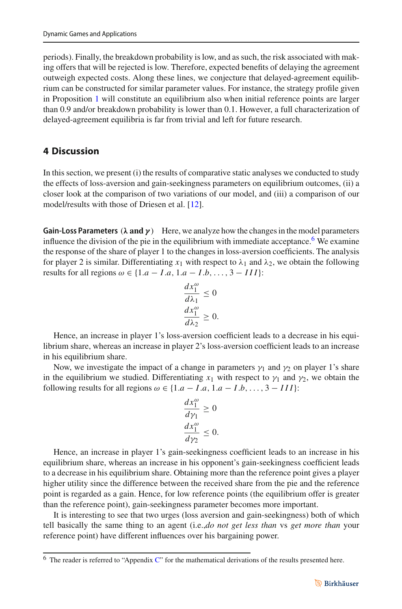periods). Finally, the breakdown probability is low, and as such, the risk associated with making offers that will be rejected is low. Therefore, expected benefits of delaying the agreement outweigh expected costs. Along these lines, we conjecture that delayed-agreement equilibrium can be constructed for similar parameter values. For instance, the strategy profile given in Proposition [1](#page-9-0) will constitute an equilibrium also when initial reference points are larger than 0.9 and/or breakdown probability is lower than 0.1. However, a full characterization of delayed-agreement equilibria is far from trivial and left for future research.

### <span id="page-10-0"></span>**4 Discussion**

In this section, we present (i) the results of comparative static analyses we conducted to study the effects of loss-aversion and gain-seekingness parameters on equilibrium outcomes, (ii) a closer look at the comparison of two variations of our model, and (iii) a comparison of our model/results with those of Driesen et al. [\[12\]](#page-35-10).

**Gain-Loss Parameters** (*λ* **and** *γ* ) Here, we analyze how the changes in the model parameters influence the division of the pie in the equilibrium with immediate acceptance.<sup>6</sup> We examine the response of the share of player 1 to the changes in loss-aversion coefficients. The analysis for player 2 is similar. Differentiating  $x_1$  with respect to  $\lambda_1$  and  $\lambda_2$ , we obtain the following results for all regions  $\omega \in \{1.a - I.a, 1.a - I.b, \ldots, 3 - III\}$ :

$$
\frac{dx_1^{\omega}}{d\lambda_1} \le 0
$$
  

$$
\frac{dx_1^{\omega}}{d\lambda_2} \ge 0.
$$

Hence, an increase in player 1's loss-aversion coefficient leads to a decrease in his equilibrium share, whereas an increase in player 2's loss-aversion coefficient leads to an increase in his equilibrium share.

Now, we investigate the impact of a change in parameters  $\gamma_1$  and  $\gamma_2$  on player 1's share in the equilibrium we studied. Differentiating  $x_1$  with respect to  $y_1$  and  $y_2$ , we obtain the following results for all regions  $\omega \in \{1.a - I.a, 1.a - I.b, ..., 3 - III\}$ :

$$
\frac{dx_1^{\omega}}{d\gamma_1} \ge 0
$$
  

$$
\frac{dx_1^{\omega}}{d\gamma_2} \le 0.
$$

Hence, an increase in player 1's gain-seekingness coefficient leads to an increase in his equilibrium share, whereas an increase in his opponent's gain-seekingness coefficient leads to a decrease in his equilibrium share. Obtaining more than the reference point gives a player higher utility since the difference between the received share from the pie and the reference point is regarded as a gain. Hence, for low reference points (the equilibrium offer is greater than the reference point), gain-seekingness parameter becomes more important.

It is interesting to see that two urges (loss aversion and gain-seekingness) both of which tell basically the same thing to an agent (i.e.,*do not get less than* vs *get more than* your reference point) have different influences over his bargaining power.

<span id="page-10-1"></span> $6$  The reader is referred to "Appendix [C"](#page-4-0) for the mathematical derivations of the results presented here.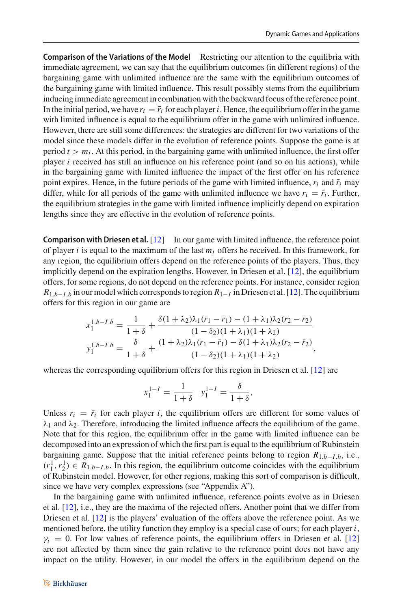**Comparison of the Variations of the Model** Restricting our attention to the equilibria with immediate agreement, we can say that the equilibrium outcomes (in different regions) of the bargaining game with unlimited influence are the same with the equilibrium outcomes of the bargaining game with limited influence. This result possibly stems from the equilibrium inducing immediate agreement in combination with the backward focus of the reference point. In the initial period, we have  $r_i = \bar{r_i}$  for each player *i*. Hence, the equilibrium offer in the game with limited influence is equal to the equilibrium offer in the game with unlimited influence. However, there are still some differences: the strategies are different for two variations of the model since these models differ in the evolution of reference points. Suppose the game is at period  $t > m_i$ . At this period, in the bargaining game with unlimited influence, the first offer player *i* received has still an influence on his reference point (and so on his actions), while in the bargaining game with limited influence the impact of the first offer on his reference point expires. Hence, in the future periods of the game with limited influence,  $r_i$  and  $\bar{r}_i$  may differ, while for all periods of the game with unlimited influence we have  $r_i = \bar{r}_i$ . Further, the equilibrium strategies in the game with limited influence implicitly depend on expiration lengths since they are effective in the evolution of reference points.

**Comparison with Driesen et al.** [\[12\]](#page-35-10) In our game with limited influence, the reference point of player *i* is equal to the maximum of the last *mi* offers he received. In this framework, for any region, the equilibrium offers depend on the reference points of the players. Thus, they implicitly depend on the expiration lengths. However, in Driesen et al. [\[12](#page-35-10)], the equilibrium offers, for some regions, do not depend on the reference points. For instance, consider region  $R_{1.b-I.b}$  in our model which corresponds to region  $R_{1-I}$  in Driesen et al. [\[12\]](#page-35-10). The equilibrium offers for this region in our game are

$$
x_1^{1.b-I.b} = \frac{1}{1+\delta} + \frac{\delta(1+\lambda_2)\lambda_1(r_1-\bar{r}_1) - (1+\lambda_1)\lambda_2(r_2-\bar{r}_2)}{(1-\delta_2)(1+\lambda_1)(1+\lambda_2)}
$$

$$
y_1^{1.b-I.b} = \frac{\delta}{1+\delta} + \frac{(1+\lambda_2)\lambda_1(r_1-\bar{r}_1) - \delta(1+\lambda_1)\lambda_2(r_2-\bar{r}_2)}{(1-\delta_2)(1+\lambda_1)(1+\lambda_2)},
$$

whereas the corresponding equilibrium offers for this region in Driesen et al. [\[12\]](#page-35-10) are

$$
x_1^{1-I} = \frac{1}{1+\delta} \quad y_1^{1-I} = \frac{\delta}{1+\delta},
$$

Unless  $r_i = \bar{r}_i$  for each player *i*, the equilibrium offers are different for some values of  $\lambda_1$  and  $\lambda_2$ . Therefore, introducing the limited influence affects the equilibrium of the game. Note that for this region, the equilibrium offer in the game with limited influence can be decomposed into an expression of which the first part is equal to the equilibrium of Rubinstein bargaining game. Suppose that the initial reference points belong to region  $R_{1,b-I,b}$ , i.e.,  $(r_1^1, r_2^1) \in R_{1,b-1,b}$ . In this region, the equilibrium outcome coincides with the equilibrium of Rubinstein model. However, for other regions, making this sort of comparison is difficult, since we have very complex expressions (see "Appendix A").

In the bargaining game with unlimited influence, reference points evolve as in Driesen et al. [\[12](#page-35-10)], i.e., they are the maxima of the rejected offers. Another point that we differ from Driesen et al. [\[12](#page-35-10)] is the players' evaluation of the offers above the reference point. As we mentioned before, the utility function they employ is a special case of ours; for each player *i*,  $\gamma_i = 0$ . For low values of reference points, the equilibrium offers in Driesen et al. [\[12\]](#page-35-10) are not affected by them since the gain relative to the reference point does not have any impact on the utility. However, in our model the offers in the equilibrium depend on the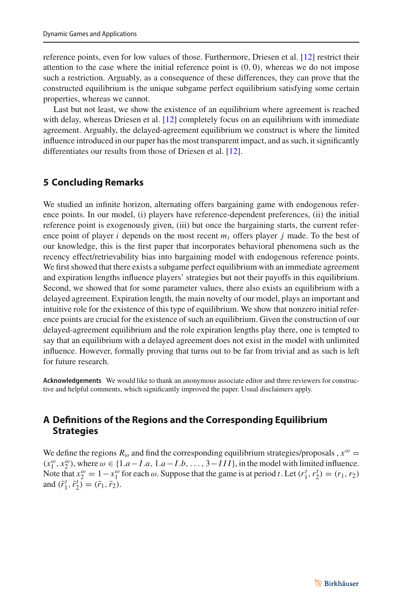reference points, even for low values of those. Furthermore, Driesen et al. [\[12](#page-35-10)] restrict their attention to the case where the initial reference point is  $(0, 0)$ , whereas we do not impose such a restriction. Arguably, as a consequence of these differences, they can prove that the constructed equilibrium is the unique subgame perfect equilibrium satisfying some certain properties, whereas we cannot.

Last but not least, we show the existence of an equilibrium where agreement is reached with delay, whereas Driesen et al. [\[12](#page-35-10)] completely focus on an equilibrium with immediate agreement. Arguably, the delayed-agreement equilibrium we construct is where the limited influence introduced in our paper has the most transparent impact, and as such, it significantly differentiates our results from those of Driesen et al. [\[12\]](#page-35-10).

### <span id="page-12-0"></span>**5 Concluding Remarks**

We studied an infinite horizon, alternating offers bargaining game with endogenous reference points. In our model, (i) players have reference-dependent preferences, (ii) the initial reference point is exogenously given, (iii) but once the bargaining starts, the current reference point of player *i* depends on the most recent *mi* offers player *j* made. To the best of our knowledge, this is the first paper that incorporates behavioral phenomena such as the recency effect/retrievability bias into bargaining model with endogenous reference points. We first showed that there exists a subgame perfect equilibrium with an immediate agreement and expiration lengths influence players' strategies but not their payoffs in this equilibrium. Second, we showed that for some parameter values, there also exists an equilibrium with a delayed agreement. Expiration length, the main novelty of our model, plays an important and intuitive role for the existence of this type of equilibrium. We show that nonzero initial reference points are crucial for the existence of such an equilibrium. Given the construction of our delayed-agreement equilibrium and the role expiration lengths play there, one is tempted to say that an equilibrium with a delayed agreement does not exist in the model with unlimited influence. However, formally proving that turns out to be far from trivial and as such is left for future research.

**Acknowledgements** We would like to thank an anonymous associate editor and three reviewers for constructive and helpful comments, which significantly improved the paper. Usual disclaimers apply.

### **A Definitions of the Regions and the Corresponding Equilibrium Strategies**

We define the regions  $R_{\omega}$  and find the corresponding equilibrium strategies/proposals ,  $x^{\omega}$  =  $(x_1^{\omega}, x_2^{\omega})$ , where  $\omega \in \{1.a - I.a, 1.a - I.b, ..., 3-III\}$ , in the model with limited influence. Note that  $x_2^{\omega} = 1 - x_1^{\omega}$  for each  $\omega$ . Suppose that the game is at period *t*. Let  $(r_1^t, r_2^t) = (r_1, r_2)$ and  $(\bar{r}_1^t, \bar{r}_2^t) = (\bar{r}_1, \bar{r}_2)$ .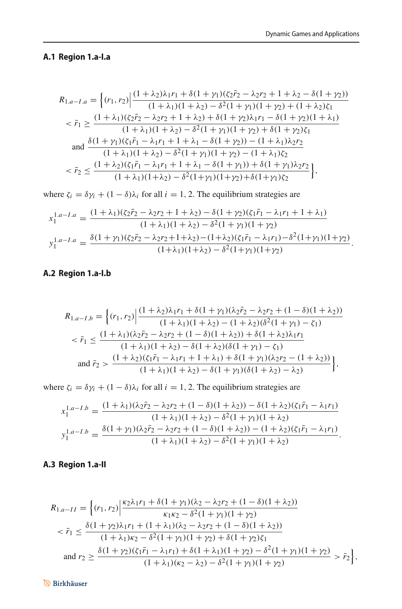### **A.1 Region 1.a-I.a**

$$
R_{1,a-I.a} = \left\{ (r_1, r_2) \Big| \frac{(1+\lambda_2)\lambda_1 r_1 + \delta(1+\gamma_1)(\zeta_2 \bar{r}_2 - \lambda_2 r_2 + 1 + \lambda_2 - \delta(1+\gamma_2))}{(1+\lambda_1)(1+\lambda_2) - \delta^2(1+\gamma_1)(1+\gamma_2) + (1+\lambda_2)\zeta_1} \right\}
$$
  

$$
< \bar{r}_1 \ge \frac{(1+\lambda_1)(\zeta_2 \bar{r}_2 - \lambda_2 r_2 + 1 + \lambda_2) + \delta(1+\gamma_2)\lambda_1 r_1 - \delta(1+\gamma_2)(1+\lambda_1)}{(1+\lambda_1)(1+\lambda_2) - \delta^2(1+\gamma_1)(1+\gamma_2) + \delta(1+\gamma_2)\zeta_1} \text{and } \frac{\delta(1+\gamma_1)(\zeta_1 \bar{r}_1 - \lambda_1 r_1 + 1 + \lambda_1 - \delta(1+\gamma_2)) - (1+\lambda_1)\lambda_2 r_2}{(1+\lambda_1)(1+\lambda_2) - \delta^2(1+\gamma_1)(1+\gamma_2) - (1+\lambda_1)\zeta_2} \left\}
$$
  

$$
< \bar{r}_2 \le \frac{(1+\lambda_2)(\zeta_1 \bar{r}_1 - \lambda_1 r_1 + 1 + \lambda_1 - \delta(1+\gamma_1)) + \delta(1+\gamma_1)\lambda_2 r_2}{(1+\lambda_1)(1+\lambda_2) - \delta^2(1+\gamma_1)(1+\gamma_2) + \delta(1+\gamma_1)\zeta_2} \right\},
$$

where  $\zeta_i = \delta \gamma_i + (1 - \delta)\lambda_i$  for all  $i = 1, 2$ . The equilibrium strategies are

$$
x_1^{1.a-I.a} = \frac{(1+\lambda_1)(\zeta_2 \bar{r}_2 - \lambda_2 r_2 + 1 + \lambda_2) - \delta(1+\gamma_2)(\zeta_1 \bar{r}_1 - \lambda_1 r_1 + 1 + \lambda_1)}{(1+\lambda_1)(1+\lambda_2) - \delta^2(1+\gamma_1)(1+\gamma_2)}
$$
  

$$
y_1^{1.a-I.a} = \frac{\delta(1+\gamma_1)(\zeta_2 \bar{r}_2 - \lambda_2 r_2 + 1 + \lambda_2) - (1+\lambda_2)(\zeta_1 \bar{r}_1 - \lambda_1 r_1) - \delta^2(1+\gamma_1)(1+\gamma_2)}{(1+\lambda_1)(1+\lambda_2) - \delta^2(1+\gamma_1)(1+\gamma_2)}.
$$

### **A.2 Region 1.a-I.b**

$$
R_{1,a-I,b} = \left\{ (r_1, r_2) \Big| \frac{(1+\lambda_2)\lambda_1 r_1 + \delta(1+\gamma_1)(\lambda_2 \bar{r}_2 - \lambda_2 r_2 + (1-\delta)(1+\lambda_2))}{(1+\lambda_1)(1+\lambda_2) - (1+\lambda_2)(\delta^2(1+\gamma_1) - \zeta_1)} \right\}
$$
  

$$
< \bar{r}_1 \le \frac{(1+\lambda_1)(\lambda_2 \bar{r}_2 - \lambda_2 r_2 + (1-\delta)(1+\lambda_2)) + \delta(1+\lambda_2)\lambda_1 r_1}{(1+\lambda_1)(1+\lambda_2) - \delta(1+\lambda_2)(\delta(1+\gamma_1) - \zeta_1)} \text{and } \bar{r}_2 > \frac{(1+\lambda_2)(\zeta_1 \bar{r}_1 - \lambda_1 r_1 + 1+\lambda_1) + \delta(1+\gamma_1)(\lambda_2 r_2 - (1+\lambda_2))}{(1+\lambda_1)(1+\lambda_2) - \delta(1+\gamma_1)(\delta(1+\lambda_2) - \lambda_2)} \right\},
$$

where  $\zeta_i = \delta \gamma_i + (1 - \delta) \lambda_i$  for all  $i = 1, 2$ . The equilibrium strategies are

$$
x_1^{1.a-I.b} = \frac{(1+\lambda_1)(\lambda_2 \bar{r}_2 - \lambda_2 r_2 + (1-\delta)(1+\lambda_2)) - \delta(1+\lambda_2)(\zeta_1 \bar{r}_1 - \lambda_1 r_1)}{(1+\lambda_1)(1+\lambda_2) - \delta^2(1+\gamma_1)(1+\lambda_2)}
$$

$$
y_1^{1.a-I.b} = \frac{\delta(1+\gamma_1)(\lambda_2 \bar{r}_2 - \lambda_2 r_2 + (1-\delta)(1+\lambda_2)) - (1+\lambda_2)(\zeta_1 \bar{r}_1 - \lambda_1 r_1)}{(1+\lambda_1)(1+\lambda_2) - \delta^2(1+\gamma_1)(1+\lambda_2)}.
$$

### **A.3 Region 1.a-II**

$$
R_{1,a-II} = \left\{ (r_1, r_2) \Big| \frac{\kappa_2 \lambda_1 r_1 + \delta (1 + \gamma_1)(\lambda_2 - \lambda_2 r_2 + (1 - \delta)(1 + \lambda_2))}{\kappa_1 \kappa_2 - \delta^2 (1 + \gamma_1)(1 + \gamma_2)} \Big\}
$$
  

$$
< \bar{r}_1 \le \frac{\delta (1 + \gamma_2) \lambda_1 r_1 + (1 + \lambda_1)(\lambda_2 - \lambda_2 r_2 + (1 - \delta)(1 + \lambda_2))}{(1 + \lambda_1)\kappa_2 - \delta^2 (1 + \gamma_1)(1 + \gamma_2) + \delta (1 + \gamma_2)\zeta_1} \Big\}
$$
  
and 
$$
r_2 \ge \frac{\delta (1 + \gamma_2)(\zeta_1 \bar{r}_1 - \lambda_1 r_1) + \delta (1 + \lambda_1)(1 + \gamma_2) - \delta^2 (1 + \gamma_1)(1 + \gamma_2)}{(1 + \lambda_1)(\kappa_2 - \lambda_2) - \delta^2 (1 + \gamma_1)(1 + \gamma_2)} > \bar{r}_2 \Big\},
$$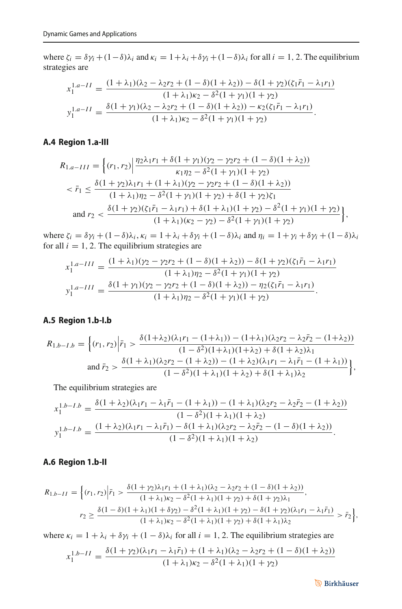where  $\zeta_i = \delta \gamma_i + (1-\delta)\lambda_i$  and  $\kappa_i = 1 + \lambda_i + \delta \gamma_i + (1-\delta)\lambda_i$  for all  $i = 1, 2$ . The equilibrium strategies are

$$
x_1^{1.a-II} = \frac{(1+\lambda_1)(\lambda_2 - \lambda_2 r_2 + (1-\delta)(1+\lambda_2)) - \delta(1+\gamma_2)(\zeta_1 \bar{r}_1 - \lambda_1 r_1)}{(1+\lambda_1)\kappa_2 - \delta^2(1+\gamma_1)(1+\gamma_2)}
$$

$$
y_1^{1.a-II} = \frac{\delta(1+\gamma_1)(\lambda_2 - \lambda_2 r_2 + (1-\delta)(1+\lambda_2)) - \kappa_2(\zeta_1 \bar{r}_1 - \lambda_1 r_1)}{(1+\lambda_1)\kappa_2 - \delta^2(1+\gamma_1)(1+\gamma_2)}.
$$

#### **A.4 Region 1.a-III**

$$
R_{1.a-III} = \left\{ (r_1, r_2) \Big| \frac{\eta_2 \lambda_1 r_1 + \delta(1 + \gamma_1)(\gamma_2 - \gamma_2 r_2 + (1 - \delta)(1 + \lambda_2))}{\kappa_1 \eta_2 - \delta^2 (1 + \gamma_1)(1 + \gamma_2)} \Big\}
$$
  

$$
< \bar{r}_1 \le \frac{\delta(1 + \gamma_2)\lambda_1 r_1 + (1 + \lambda_1)(\gamma_2 - \gamma_2 r_2 + (1 - \delta)(1 + \lambda_2))}{(1 + \lambda_1)\eta_2 - \delta^2 (1 + \gamma_1)(1 + \gamma_2) + \delta(1 + \gamma_2)\zeta_1} \Big\}
$$
  
and 
$$
r_2 < \frac{\delta(1 + \gamma_2)(\zeta_1 \bar{r}_1 - \lambda_1 r_1) + \delta(1 + \lambda_1)(1 + \gamma_2) - \delta^2 (1 + \gamma_1)(1 + \gamma_2)}{(1 + \lambda_1)(\kappa_2 - \gamma_2) - \delta^2 (1 + \gamma_1)(1 + \gamma_2)} \Big\},
$$

where  $\zeta_i = \delta \gamma_i + (1-\delta)\lambda_i$ ,  $\kappa_i = 1 + \lambda_i + \delta \gamma_i + (1-\delta)\lambda_i$  and  $\eta_i = 1 + \gamma_i + \delta \gamma_i + (1-\delta)\lambda_i$ for all  $i = 1, 2$ . The equilibrium strategies are

$$
x_1^{1.a-III} = \frac{(1+\lambda_1)(\gamma_2 - \gamma_2 r_2 + (1-\delta)(1+\lambda_2)) - \delta(1+\gamma_2)(\zeta_1 \bar{r}_1 - \lambda_1 r_1)}{(1+\lambda_1)\eta_2 - \delta^2(1+\gamma_1)(1+\gamma_2)}
$$
  

$$
y_1^{1.a-III} = \frac{\delta(1+\gamma_1)(\gamma_2 - \gamma_2 r_2 + (1-\delta)(1+\lambda_2)) - \eta_2(\zeta_1 \bar{r}_1 - \lambda_1 r_1)}{(1+\lambda_1)\eta_2 - \delta^2(1+\gamma_1)(1+\gamma_2)}.
$$

#### **A.5 Region 1.b-I.b**

$$
R_{1.b-I.b} = \left\{ (r_1, r_2) \middle| \bar{r}_1 > \frac{\delta(1+\lambda_2)(\lambda_1 r_1 - (1+\lambda_1)) - (1+\lambda_1)(\lambda_2 r_2 - \lambda_2 \bar{r}_2 - (1+\lambda_2))}{(1-\delta^2)(1+\lambda_1)(1+\lambda_2) + \delta(1+\lambda_2)\lambda_1} \right\}
$$
  
and  $\bar{r}_2 > \frac{\delta(1+\lambda_1)(\lambda_2 r_2 - (1+\lambda_2)) - (1+\lambda_2)(\lambda_1 r_1 - \lambda_1 \bar{r}_1 - (1+\lambda_1))}{(1-\delta^2)(1+\lambda_1)(1+\lambda_2) + \delta(1+\lambda_1)\lambda_2} \right\}$ ,

The equilibrium strategies are

$$
x_1^{1,b-1,b} = \frac{\delta(1+\lambda_2)(\lambda_1r_1 - \lambda_1\bar{r}_1 - (1+\lambda_1)) - (1+\lambda_1)(\lambda_2r_2 - \lambda_2\bar{r}_2 - (1+\lambda_2))}{(1-\delta^2)(1+\lambda_1)(1+\lambda_2)}
$$
  

$$
y_1^{1,b-1,b} = \frac{(1+\lambda_2)(\lambda_1r_1 - \lambda_1\bar{r}_1) - \delta(1+\lambda_1)(\lambda_2r_2 - \lambda_2\bar{r}_2 - (1-\delta)(1+\lambda_2))}{(1-\delta^2)(1+\lambda_1)(1+\lambda_2)}.
$$

### **A.6 Region 1.b-II**

$$
R_{1,b-II} = \Big\{ (r_1, r_2) \Big| \bar{r}_1 > \frac{\delta(1+\gamma_2)\lambda_1 r_1 + (1+\lambda_1)(\lambda_2 - \lambda_2 r_2 + (1-\delta)(1+\lambda_2))}{(1+\lambda_1)\kappa_2 - \delta^2(1+\lambda_1)(1+\gamma_2) + \delta(1+\gamma_2)\lambda_1},
$$
  

$$
r_2 \ge \frac{\delta(1-\delta)(1+\lambda_1)(1+\delta\gamma_2) - \delta^2(1+\lambda_1)(1+\gamma_2) - \delta(1+\gamma_2)(\lambda_1 r_1 - \lambda_1 \bar{r}_1)}{(1+\lambda_1)\kappa_2 - \delta^2(1+\lambda_1)(1+\gamma_2) + \delta(1+\lambda_1)\lambda_2} > \bar{r}_2 \Big\},
$$

where  $\kappa_i = 1 + \lambda_i + \delta \gamma_i + (1 - \delta) \lambda_i$  for all  $i = 1, 2$ . The equilibrium strategies are

$$
x_1^{1,b-II} = \frac{\delta(1+\gamma_2)(\lambda_1r_1 - \lambda_1\bar{r}_1) + (1+\lambda_1)(\lambda_2 - \lambda_2r_2 + (1-\delta)(1+\lambda_2))}{(1+\lambda_1)\kappa_2 - \delta^2(1+\lambda_1)(1+\gamma_2)}
$$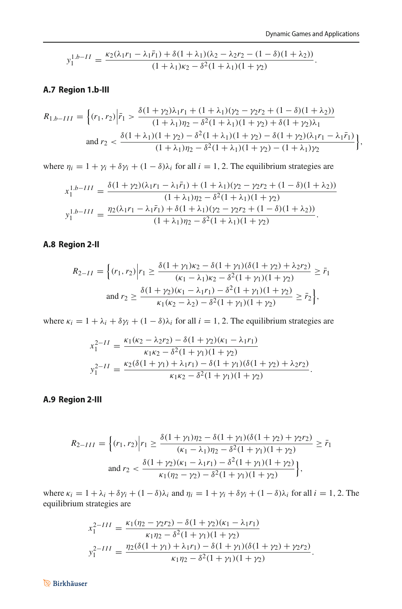$$
y_1^{1.b-II} = \frac{\kappa_2(\lambda_1r_1 - \lambda_1\bar{r}_1) + \delta(1+\lambda_1)(\lambda_2 - \lambda_2r_2 - (1-\delta)(1+\lambda_2))}{(1+\lambda_1)\kappa_2 - \delta^2(1+\lambda_1)(1+\gamma_2)}.
$$

### **A.7 Region 1.b-III**

$$
R_{1,b-III} = \left\{ (r_1, r_2) \Big| \bar{r}_1 > \frac{\delta (1 + \gamma_2) \lambda_1 r_1 + (1 + \lambda_1)(\gamma_2 - \gamma_2 r_2 + (1 - \delta)(1 + \lambda_2))}{(1 + \lambda_1)\eta_2 - \delta^2 (1 + \lambda_1)(1 + \gamma_2) + \delta(1 + \gamma_2)\lambda_1} \right\}
$$
  
and 
$$
r_2 < \frac{\delta (1 + \lambda_1)(1 + \gamma_2) - \delta^2 (1 + \lambda_1)(1 + \gamma_2) - \delta(1 + \gamma_2)(\lambda_1 r_1 - \lambda_1 \bar{r}_1)}{(1 + \lambda_1)\eta_2 - \delta^2 (1 + \lambda_1)(1 + \gamma_2) - (1 + \lambda_1)\gamma_2} \right\},
$$

where  $\eta_i = 1 + \gamma_i + \delta \gamma_i + (1 - \delta) \lambda_i$  for all  $i = 1, 2$ . The equilibrium strategies are

$$
x_1^{1,b-III} = \frac{\delta(1+\gamma_2)(\lambda_1r_1 - \lambda_1\bar{r}_1) + (1+\lambda_1)(\gamma_2 - \gamma_2r_2 + (1-\delta)(1+\lambda_2))}{(1+\lambda_1)\eta_2 - \delta^2(1+\lambda_1)(1+\gamma_2)}
$$

$$
y_1^{1,b-III} = \frac{\eta_2(\lambda_1r_1 - \lambda_1\bar{r}_1) + \delta(1+\lambda_1)(\gamma_2 - \gamma_2r_2 + (1-\delta)(1+\lambda_2))}{(1+\lambda_1)\eta_2 - \delta^2(1+\lambda_1)(1+\gamma_2)}.
$$

#### **A.8 Region 2-II**

$$
R_{2-II} = \left\{ (r_1, r_2) \middle| r_1 \ge \frac{\delta (1 + \gamma_1) \kappa_2 - \delta (1 + \gamma_1)(\delta (1 + \gamma_2) + \lambda_2 r_2)}{(\kappa_1 - \lambda_1) \kappa_2 - \delta^2 (1 + \gamma_1)(1 + \gamma_2)} \ge \bar{r}_1 \right\}
$$
  
and 
$$
r_2 \ge \frac{\delta (1 + \gamma_2)(\kappa_1 - \lambda_1 r_1) - \delta^2 (1 + \gamma_1)(1 + \gamma_2)}{\kappa_1 (\kappa_2 - \lambda_2) - \delta^2 (1 + \gamma_1)(1 + \gamma_2)} \ge \bar{r}_2 \right\},
$$

where  $\kappa_i = 1 + \lambda_i + \delta \gamma_i + (1 - \delta) \lambda_i$  for all  $i = 1, 2$ . The equilibrium strategies are

$$
x_1^{2-II} = \frac{\kappa_1(\kappa_2 - \lambda_2 r_2) - \delta(1 + \gamma_2)(\kappa_1 - \lambda_1 r_1)}{\kappa_1 \kappa_2 - \delta^2 (1 + \gamma_1)(1 + \gamma_2)}
$$
  

$$
y_1^{2-II} = \frac{\kappa_2(\delta(1 + \gamma_1) + \lambda_1 r_1) - \delta(1 + \gamma_1)(\delta(1 + \gamma_2) + \lambda_2 r_2)}{\kappa_1 \kappa_2 - \delta^2 (1 + \gamma_1)(1 + \gamma_2)}.
$$

#### **A.9 Region 2-III**

$$
R_{2-III} = \left\{ (r_1, r_2) \middle| r_1 \ge \frac{\delta (1 + \gamma_1) \eta_2 - \delta (1 + \gamma_1)(\delta (1 + \gamma_2) + \gamma_2 r_2)}{(\kappa_1 - \lambda_1) \eta_2 - \delta^2 (1 + \gamma_1)(1 + \gamma_2)} \ge \bar{r}_1 \right\}
$$
  
and 
$$
r_2 < \frac{\delta (1 + \gamma_2)(\kappa_1 - \lambda_1 r_1) - \delta^2 (1 + \gamma_1)(1 + \gamma_2)}{\kappa_1 (\eta_2 - \gamma_2) - \delta^2 (1 + \gamma_1)(1 + \gamma_2)} \right\},
$$

where  $\kappa_i = 1 + \lambda_i + \delta \gamma_i + (1 - \delta)\lambda_i$  and  $\eta_i = 1 + \gamma_i + \delta \gamma_i + (1 - \delta)\lambda_i$  for all  $i = 1, 2$ . The equilibrium strategies are

$$
x_1^{2-III} = \frac{\kappa_1(\eta_2 - \gamma_2 r_2) - \delta(1 + \gamma_2)(\kappa_1 - \lambda_1 r_1)}{\kappa_1 \eta_2 - \delta^2(1 + \gamma_1)(1 + \gamma_2)}
$$
  

$$
y_1^{2-III} = \frac{\eta_2(\delta(1 + \gamma_1) + \lambda_1 r_1) - \delta(1 + \gamma_1)(\delta(1 + \gamma_2) + \gamma_2 r_2)}{\kappa_1 \eta_2 - \delta^2(1 + \gamma_1)(1 + \gamma_2)}.
$$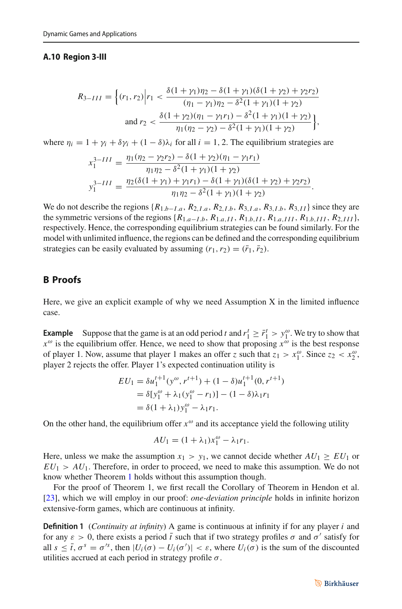#### **A.10 Region 3-III**

$$
R_{3-III} = \left\{ (r_1, r_2) \middle| r_1 < \frac{\delta(1 + \gamma_1)\eta_2 - \delta(1 + \gamma_1)(\delta(1 + \gamma_2) + \gamma_2 r_2)}{(\eta_1 - \gamma_1)\eta_2 - \delta^2(1 + \gamma_1)(1 + \gamma_2)} \right\}
$$
\n
$$
\text{and } r_2 < \frac{\delta(1 + \gamma_2)(\eta_1 - \gamma_1 r_1) - \delta^2(1 + \gamma_1)(1 + \gamma_2)}{\eta_1(\eta_2 - \gamma_2) - \delta^2(1 + \gamma_1)(1 + \gamma_2)} \right\},
$$

where  $\eta_i = 1 + \gamma_i + \delta \gamma_i + (1 - \delta) \lambda_i$  for all  $i = 1, 2$ . The equilibrium strategies are

$$
x_1^{3-III} = \frac{\eta_1(\eta_2 - \gamma_2 r_2) - \delta(1 + \gamma_2)(\eta_1 - \gamma_1 r_1)}{\eta_1 \eta_2 - \delta^2 (1 + \gamma_1)(1 + \gamma_2)}
$$
  

$$
y_1^{3-III} = \frac{\eta_2(\delta(1 + \gamma_1) + \gamma_1 r_1) - \delta(1 + \gamma_1)(\delta(1 + \gamma_2) + \gamma_2 r_2)}{\eta_1 \eta_2 - \delta^2 (1 + \gamma_1)(1 + \gamma_2)}.
$$

We do not describe the regions  $\{R_{1,b-1,a}, R_{2,I,a}, R_{2,I,b}, R_{3,I,a}, R_{3,I,b}, R_{3,II}\}$  since they are the symmetric versions of the regions  $\{R_{1,a-I,b}, R_{1,a,II}, R_{1,b,II}, R_{1,a,III}, R_{1,b,III}, R_{2,III}\},\$ respectively. Hence, the corresponding equilibrium strategies can be found similarly. For the model with unlimited influence, the regions can be defined and the corresponding equilibrium strategies can be easily evaluated by assuming  $(r_1, r_2) = (\bar{r}_1, \bar{r}_2)$ .

### **B Proofs**

Here, we give an explicit example of why we need Assumption X in the limited influence case.

**Example** Suppose that the game is at an odd period *t* and  $r_1^t \geq \bar{r}_1^t > y_1^{\omega}$ . We try to show that  $x^{\omega}$  is the equilibrium offer. Hence, we need to show that proposing  $x^{\omega}$  is the best response of player 1. Now, assume that player 1 makes an offer *z* such that  $z_1 > x_1^\omega$ . Since  $z_2 < x_2^\omega$ , player 2 rejects the offer. Player 1's expected continuation utility is

$$
EU_1 = \delta u_1^{t+1} (y^{\omega}, r^{t+1}) + (1 - \delta) u_1^{t+1} (0, r^{t+1})
$$
  
=  $\delta [y_1^{\omega} + \lambda_1 (y_1^{\omega} - r_1)] - (1 - \delta) \lambda_1 r_1$   
=  $\delta (1 + \lambda_1) y_1^{\omega} - \lambda_1 r_1$ .

On the other hand, the equilibrium offer  $x^{\omega}$  and its acceptance yield the following utility

$$
AU_1 = (1 + \lambda_1)x_1^{\omega} - \lambda_1 r_1.
$$

Here, unless we make the assumption  $x_1 > y_1$ , we cannot decide whether  $AU_1 \geq EU_1$  or  $EU_1 > AU_1$ . Therefore, in order to proceed, we need to make this assumption. We do not know whether Theorem [1](#page-6-0) holds without this assumption though.

For the proof of Theorem 1, we first recall the Corollary of Theorem in Hendon et al. [\[23\]](#page-35-26), which we will employ in our proof: *one-deviation principle* holds in infinite horizon extensive-form games, which are continuous at infinity.

**Definition 1** (*Continuity at infinity*) A game is continuous at infinity if for any player *i* and for any  $\varepsilon > 0$ , there exists a period  $\bar{t}$  such that if two strategy profiles  $\sigma$  and  $\sigma'$  satisfy for all  $s \leq \bar{t}$ ,  $\sigma^s = \sigma'^s$ , then  $|U_i(\sigma) - U_i(\sigma')| < \varepsilon$ , where  $U_i(\sigma)$  is the sum of the discounted utilities accrued at each period in strategy profile  $\sigma$ .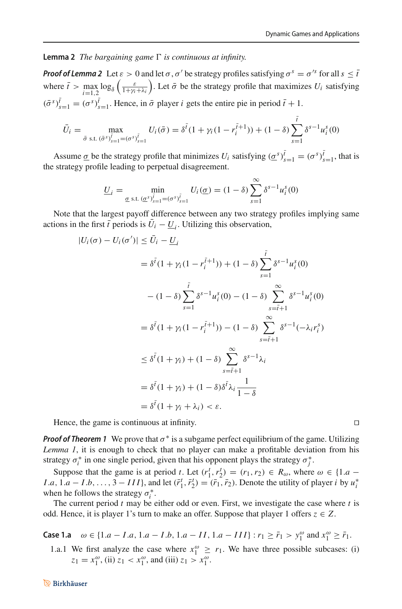**Lemma 2** *The bargaining game*  $\Gamma$  *is continuous at infinity.* 

*Proof of Lemma 2* Let  $\varepsilon > 0$  and let  $\sigma$ ,  $\sigma'$  be strategy profiles satisfying  $\sigma^s = \sigma'^s$  for all  $s \leq \bar{t}$ where  $\bar{t} > \max_{i=1,2} \log_{\delta} \left( \frac{\varepsilon}{1 + \gamma_i + \lambda_i} \right)$ . Let  $\bar{\sigma}$  be the strategy profile that maximizes  $U_i$  satisfying  $(\bar{\sigma}^s)_{s=1}^{\bar{t}} = (\sigma^s)_{s=1}^{\bar{t}}$ . Hence, in  $\bar{\sigma}$  player *i* gets the entire pie in period  $\bar{t} + 1$ .

$$
\bar{U}_i = \max_{\bar{\sigma} \text{ s.t. } (\bar{\sigma}^s)_{s=1}^{\bar{t}} = (\sigma^s)_{s=1}^{\bar{t}}} U_i(\bar{\sigma}) = \delta^{\bar{t}} (1 + \gamma_i (1 - r_i^{\bar{t}+1})) + (1 - \delta) \sum_{s=1}^{\bar{t}} \delta^{s-1} u_i^s(0)
$$

Assume  $\underline{\sigma}$  be the strategy profile that minimizes  $U_i$  satisfying  $(\underline{\sigma}^s)_{s=1}^t = (\sigma^s)_{s=1}^t$ , that is the strategy profile leading to perpetual disagreement.

$$
\underline{U}_i = \min_{\underline{\sigma} \text{ s.t. } (\underline{\sigma}^s)_{s=1}^{\overline{i}} = (\sigma^s)_{s=1}^{\overline{i}}} U_i(\underline{\sigma}) = (1 - \delta) \sum_{s=1}^{\infty} \delta^{s-1} u_i^s(0)
$$

Note that the largest payoff difference between any two strategy profiles implying same actions in the first  $\bar{t}$  periods is  $U_i - \underline{U}_i$ . Utilizing this observation,

$$
|U_i(\sigma) - U_i(\sigma')| \le U_i - \underline{U}_i
$$
  
=  $\delta^{\bar{t}} (1 + \gamma_i (1 - r_i^{\bar{t}+1})) + (1 - \delta) \sum_{s=1}^{\bar{t}} \delta^{s-1} u_i^s(0)$   

$$
- (1 - \delta) \sum_{s=1}^{\bar{t}} \delta^{s-1} u_i^s(0) - (1 - \delta) \sum_{s=\bar{t}+1}^{\infty} \delta^{s-1} u_i^s(0)
$$
  
=  $\delta^{\bar{t}} (1 + \gamma_i (1 - r_i^{\bar{t}+1})) - (1 - \delta) \sum_{s=\bar{t}+1}^{\infty} \delta^{s-1} (-\lambda_i r_i^s)$   

$$
\le \delta^{\bar{t}} (1 + \gamma_i) + (1 - \delta) \sum_{s=\bar{t}+1}^{\infty} \delta^{s-1} \lambda_i
$$
  
=  $\delta^{\bar{t}} (1 + \gamma_i) + (1 - \delta) \delta^{\bar{t}} \lambda_i \frac{1}{1 - \delta}$   
=  $\delta^{\bar{t}} (1 + \gamma_i + \lambda_i) < \varepsilon$ .

Hence, the game is continuous at infinity.

*Proof of Theorem 1* We prove that  $\sigma^*$  is a subgame perfect equilibrium of the game. Utilizing *Lemma 1*, it is enough to check that no player can make a profitable deviation from his strategy  $\sigma_i^*$  in one single period, given that his opponent plays the strategy  $\sigma_j^*$ .

Suppose that the game is at period *t*. Let  $(r_1^t, r_2^t) = (r_1, r_2) \in R_\omega$ , where  $\omega \in \{1.a - \omega\}$ *I*.*a*, 1.*a* − *I*.*b*,..., 3 − *III*}, and let  $(\bar{r}_1^t, \bar{r}_2^t) = (\bar{r}_1, \bar{r}_2)$ . Denote the utility of player *i* by  $u_i^*$ when he follows the strategy  $\sigma_i^*$ .

The current period *t* may be either odd or even. First, we investigate the case where *t* is odd. Hence, it is player 1's turn to make an offer. Suppose that player 1 offers  $z \in Z$ .

**Case 1.a**  $\omega \in \{1.a - I.a, 1.a - I.b, 1.a - II, 1.a - III\} : r_1 ≥ \bar{r}_1 > y_1^{\omega}$  and  $x_1^{\omega} ≥ \bar{r}_1$ .

1.a.1 We first analyze the case where  $x_1^{\omega} \ge r_1$ . We have three possible subcases: (i)  $z_1 = x_1^{\omega}$ , (ii)  $z_1 < x_1^{\omega}$ , and (iii)  $z_1 > x_1^{\omega}$ .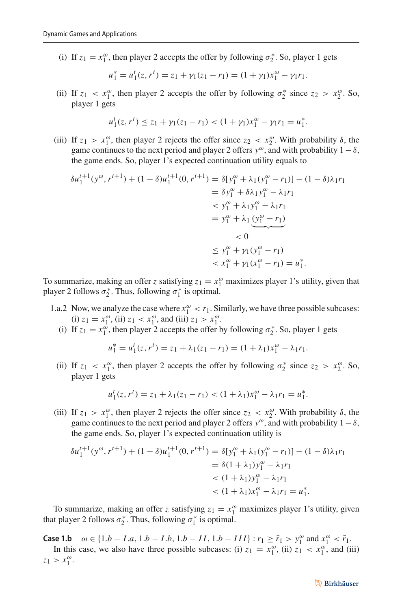(i) If  $z_1 = x_1^\omega$ , then player 2 accepts the offer by following  $\sigma_2^*$ . So, player 1 gets

$$
u_1^* = u_1^t(z, r^t) = z_1 + \gamma_1(z_1 - r_1) = (1 + \gamma_1)x_1^{\omega} - \gamma_1 r_1.
$$

(ii) If  $z_1 < x_1^{\omega}$ , then player 2 accepts the offer by following  $\sigma_2^*$  since  $z_2 > x_2^{\omega}$ . So, player 1 gets

$$
u_1^t(z, r^t) \le z_1 + \gamma_1(z_1 - r_1) < (1 + \gamma_1)x_1^{\omega} - \gamma_1 r_1 = u_1^*.
$$

(iii) If  $z_1 > x_1^{\omega}$ , then player 2 rejects the offer since  $z_2 < x_2^{\omega}$ . With probability  $\delta$ , the game continues to the next period and player 2 offers  $y^{\omega}$ , and with probability  $1-\delta$ , the game ends. So, player 1's expected continuation utility equals to

$$
\delta u_1^{t+1}(y^{\omega}, r^{t+1}) + (1 - \delta)u_1^{t+1}(0, r^{t+1}) = \delta[y_1^{\omega} + \lambda_1(y_1^{\omega} - r_1)] - (1 - \delta)\lambda_1 r_1
$$
  
\n
$$
= \delta y_1^{\omega} + \delta\lambda_1 y_1^{\omega} - \lambda_1 r_1
$$
  
\n
$$
< y_1^{\omega} + \lambda_1 y_1^{\omega} - \lambda_1 r_1
$$
  
\n
$$
= y_1^{\omega} + \lambda_1 \underbrace{(y_1^{\omega} - r_1)}_{< 0}
$$
  
\n
$$
< 0
$$
  
\n
$$
\le y_1^{\omega} + \gamma_1 (y_1^{\omega} - r_1)
$$
  
\n
$$
< x_1^{\omega} + \gamma_1 (x_1^{\omega} - r_1) = u_1^*.
$$

To summarize, making an offer *z* satisfying  $z_1 = x_1^\omega$  maximizes player 1's utility, given that player 2 follows  $\sigma_2^*$ . Thus, following  $\sigma_1^*$  is optimal.

- 1.a.2 Now, we analyze the case where  $x_1^{\omega} < r_1$ . Similarly, we have three possible subcases: (i)  $z_1 = x_1^{\omega}$ , (ii)  $z_1 < x_1^{\omega}$ , and (iii)  $z_1 > x_1^{\omega}$ .
	- (i) If  $z_1 = x_1^{\omega}$ , then player 2 accepts the offer by following  $\sigma_2^*$ . So, player 1 gets

$$
u_1^* = u_1^t(z, r^t) = z_1 + \lambda_1(z_1 - r_1) = (1 + \lambda_1)x_1^{\omega} - \lambda_1r_1.
$$

(ii) If  $z_1 < x_1^{\omega}$ , then player 2 accepts the offer by following  $\sigma_2^*$  since  $z_2 > x_2^{\omega}$ . So, player 1 gets

$$
u_1^t(z, r^t) = z_1 + \lambda_1(z_1 - r_1) < (1 + \lambda_1)x_1^\omega - \lambda_1 r_1 = u_1^*.
$$

(iii) If  $z_1 > x_1^{\omega}$ , then player 2 rejects the offer since  $z_2 < x_2^{\omega}$ . With probability  $\delta$ , the game continues to the next period and player 2 offers  $y^{\omega}$ , and with probability  $1-\delta$ , the game ends. So, player 1's expected continuation utility is

$$
\delta u_1^{t+1}(y^\omega, r^{t+1}) + (1 - \delta)u_1^{t+1}(0, r^{t+1}) = \delta[y_1^\omega + \lambda_1(y_1^\omega - r_1)] - (1 - \delta)\lambda_1 r_1
$$
  
=  $\delta(1 + \lambda_1)y_1^\omega - \lambda_1 r_1$   
 $< (1 + \lambda_1)y_1^\omega - \lambda_1 r_1$   
 $< (1 + \lambda_1)x_1^\omega - \lambda_1 r_1 = u_1^*.$ 

To summarize, making an offer *z* satisfying  $z_1 = x_1^\omega$  maximizes player 1's utility, given that player 2 follows  $\sigma_2^*$ . Thus, following  $\sigma_1^*$  is optimal.

**Case 1.b**  $\omega$  ∈ {1.*b* − *I*.*a*, 1.*b* − *I*.*b*, 1.*b* − *II*, 1.*b* − *III*} : *r*<sub>1</sub> ≥ *r*<sub>1</sub> > *y*<sub>1</sub><sup>ω</sup> and *x*<sub>1</sub><sup>ω</sup> < *r*<sub>1</sub>. In this case, we also have three possible subcases: (i)  $z_1 = x_1^\omega$ , (ii)  $z_1 < x_1^\omega$ , and (iii)  $z_1 > x_1^{\omega}$ .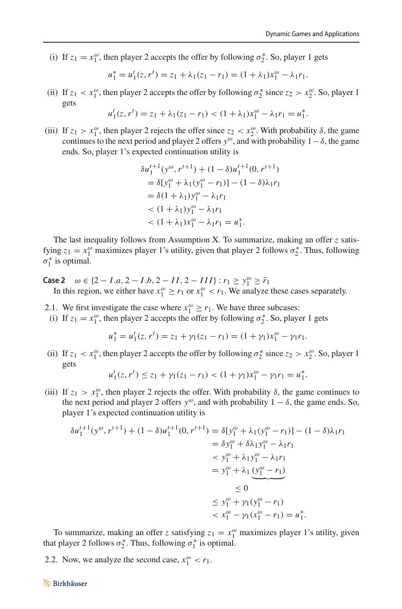(i) If  $z_1 = x_1^{\omega}$ , then player 2 accepts the offer by following  $\sigma_2^*$ . So, player 1 gets

$$
u_1^* = u_1^t(z, r^t) = z_1 + \lambda_1(z_1 - r_1) = (1 + \lambda_1)x_1^{\omega} - \lambda_1 r_1.
$$

(ii) If  $z_1 < x_1^{\omega}$ , then player 2 accepts the offer by following  $\sigma_2^*$  since  $z_2 > x_2^{\omega}$ . So, player 1 gets

$$
u_1^t(z, r^t) = z_1 + \lambda_1(z_1 - r_1) < (1 + \lambda_1)x_1^\omega - \lambda_1 r_1 = u_1^*.
$$

(iii) If  $z_1 > x_1^{\omega}$ , then player 2 rejects the offer since  $z_2 < x_2^{\omega}$ . With probability  $\delta$ , the game continues to the next period and player 2 offers  $y^{\omega}$ , and with probability  $1-\delta$ , the game ends. So, player 1's expected continuation utility is

$$
\delta u_1^{t+1} (y^\omega, r^{t+1}) + (1 - \delta) u_1^{t+1} (0, r^{t+1})
$$
  
=  $\delta [y_1^\omega + \lambda_1 (y_1^\omega - r_1)] - (1 - \delta) \lambda_1 r_1$   
=  $\delta (1 + \lambda_1) y_1^\omega - \lambda_1 r_1$   
<  $(1 + \lambda_1) y_1^\omega - \lambda_1 r_1$   
<  $(1 + \lambda_1) x_1^\omega - \lambda_1 r_1 = u_1^*$ .

The last inequality follows from Assumption X. To summarize, making an offer *z* satisfying  $z_1 = x_1^{\omega}$  maximizes player 1's utility, given that player 2 follows  $\sigma_2^*$ . Thus, following  $\sigma_1^*$  is optimal.

- **Case 2**  $\omega$  ∈ {2 − *I*.*a*, 2 − *I*.*b*, 2 − *II*, 2 − *III*} : *r*<sub>1</sub> ≥ *y*<sup>ω</sup> ≥ *r*<sub>1</sub> In this region, we either have  $x_1^{\omega} \ge r_1$  or  $x_1^{\omega} < r_1$ . We analyze these cases separately.
- 2.1. We first investigate the case where  $x_1^{\omega} \ge r_1$ . We have three subcases:
- (i) If  $z_1 = x_1^\omega$ , then player 2 accepts the offer by following  $\sigma_2^*$ . So, player 1 gets

$$
u_1^* = u_1^t(z, r^t) = z_1 + \gamma_1(z_1 - r_1) = (1 + \gamma_1)x_1^{\omega} - \gamma_1 r_1.
$$

(ii) If  $z_1 < x_1^{\omega}$ , then player 2 accepts the offer by following  $\sigma_2^*$  since  $z_2 > x_2^{\omega}$ . So, player 1 gets

$$
u_1^t(z, r^t) \le z_1 + \gamma_1(z_1 - r_1) < (1 + \gamma_1)x_1^{\omega} - \gamma_1 r_1 = u_1^*.
$$

(iii) If  $z_1 > x_1^{\omega}$ , then player 2 rejects the offer. With probability  $\delta$ , the game continues to the next period and player 2 offers  $y^{\omega}$ , and with probability  $1 - \delta$ , the game ends. So, player 1's expected continuation utility is

$$
\delta u_1^{t+1}(y^{\omega}, r^{t+1}) + (1 - \delta)u_1^{t+1}(0, r^{t+1}) = \delta[y_1^{\omega} + \lambda_1(y_1^{\omega} - r_1)] - (1 - \delta)\lambda_1 r_1
$$
  
\n
$$
= \delta y_1^{\omega} + \delta\lambda_1 y_1^{\omega} - \lambda_1 r_1
$$
  
\n
$$
< y_1^{\omega} + \lambda_1 y_1^{\omega} - \lambda_1 r_1
$$
  
\n
$$
= y_1^{\omega} + \lambda_1 \underbrace{(y_1^{\omega} - r_1)}_{\infty}
$$
  
\n
$$
\leq 0
$$
  
\n
$$
\leq y_1^{\omega} + \gamma_1 (y_1^{\omega} - r_1)
$$
  
\n
$$
< x_1^{\omega} - \gamma_1 (x_1^{\omega} - r_1) = u_1^*.
$$

To summarize, making an offer *z* satisfying  $z_1 = x_1^\omega$  maximizes player 1's utility, given that player 2 follows  $\sigma_2^*$ . Thus, following  $\sigma_1^*$  is optimal.

2.2. Now, we analyze the second case,  $x_1^{\omega} < r_1$ .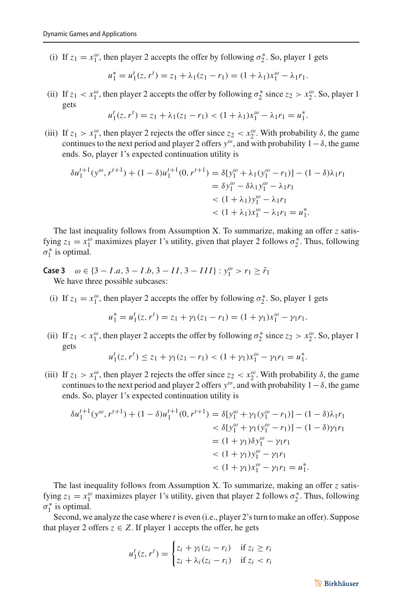(i) If  $z_1 = x_1^{\omega}$ , then player 2 accepts the offer by following  $\sigma_2^*$ . So, player 1 gets

$$
u_1^* = u_1^t(z, r^t) = z_1 + \lambda_1(z_1 - r_1) = (1 + \lambda_1)x_1^{\omega} - \lambda_1r_1.
$$

(ii) If  $z_1 < x_1^{\omega}$ , then player 2 accepts the offer by following  $\sigma_2^*$  since  $z_2 > x_2^{\omega}$ . So, player 1 gets

$$
u_1^t(z, r^t) = z_1 + \lambda_1(z_1 - r_1) < (1 + \lambda_1)x_1^\omega - \lambda_1 r_1 = u_1^*.
$$

(iii) If  $z_1 > x_1^{\omega}$ , then player 2 rejects the offer since  $z_2 < x_2^{\omega}$ . With probability  $\delta$ , the game continues to the next period and player 2 offers  $y^{\omega}$ , and with probability  $1-\delta$ , the game ends. So, player 1's expected continuation utility is

$$
\delta u_1^{t+1}(y^{\omega}, r^{t+1}) + (1 - \delta)u_1^{t+1}(0, r^{t+1}) = \delta[y_1^{\omega} + \lambda_1(y_1^{\omega} - r_1)] - (1 - \delta)\lambda_1 r_1
$$
  
=  $\delta y_1^{\omega} - \delta\lambda_1 y_1^{\omega} - \lambda_1 r_1$   
<  $(1 + \lambda_1)y_1^{\omega} - \lambda_1 r_1$   
<  $(1 + \lambda_1)x_1^{\omega} - \lambda_1 r_1 = u_1^*$ .

The last inequality follows from Assumption X. To summarize, making an offer *z* satisfying  $z_1 = x_1^{\omega}$  maximizes player 1's utility, given that player 2 follows  $\sigma_2^*$ . Thus, following  $\sigma_1^*$  is optimal.

**Case 3**  $\omega \in \{3 - I.a, 3 - I.b, 3 - II, 3 - III\}$ :  $y_1^{\omega} > r_1 \geq \bar{r}_1$ We have three possible subcases:

(i) If  $z_1 = x_1^\omega$ , then player 2 accepts the offer by following  $\sigma_2^*$ . So, player 1 gets

$$
u_1^* = u_1^t(z, r^t) = z_1 + \gamma_1(z_1 - r_1) = (1 + \gamma_1)x_1^{\omega} - \gamma_1 r_1.
$$

(ii) If  $z_1 < x_1^{\omega}$ , then player 2 accepts the offer by following  $\sigma_2^*$  since  $z_2 > x_2^{\omega}$ . So, player 1 gets

$$
u_1^t(z, r^t) \le z_1 + \gamma_1(z_1 - r_1) < (1 + \gamma_1)x_1^\omega - \gamma_1 r_1 = u_1^*.
$$

(iii) If  $z_1 > x_1^{\omega}$ , then player 2 rejects the offer since  $z_2 < x_2^{\omega}$ . With probability  $\delta$ , the game continues to the next period and player 2 offers  $y^{\omega}$ , and with probability  $1-\delta$ , the game ends. So, player 1's expected continuation utility is

$$
\delta u_1^{t+1}(y^\omega, r^{t+1}) + (1 - \delta)u_1^{t+1}(0, r^{t+1}) = \delta[y_1^\omega + \gamma_1(y_1^\omega - r_1)] - (1 - \delta)\lambda_1 r_1
$$
  

$$
< \delta[y_1^\omega + \gamma_1(y_1^\omega - r_1)] - (1 - \delta)\gamma_1 r_1
$$
  

$$
= (1 + \gamma_1)\delta y_1^\omega - \gamma_1 r_1
$$
  

$$
< (1 + \gamma_1)y_1^\omega - \gamma_1 r_1 = u_1^*.
$$

The last inequality follows from Assumption X. To summarize, making an offer *z* satisfying  $z_1 = x_1^\omega$  maximizes player 1's utility, given that player 2 follows  $\sigma_2^*$ . Thus, following  $\sigma_1^*$  is optimal.

Second, we analyze the case where *t* is even (i.e., player 2's turn to make an offer). Suppose that player 2 offers  $z \in Z$ . If player 1 accepts the offer, he gets

$$
u_1^t(z, r^t) = \begin{cases} z_i + \gamma_i (z_i - r_i) & \text{if } z_i \ge r_i \\ z_i + \lambda_i (z_i - r_i) & \text{if } z_i < r_i \end{cases}
$$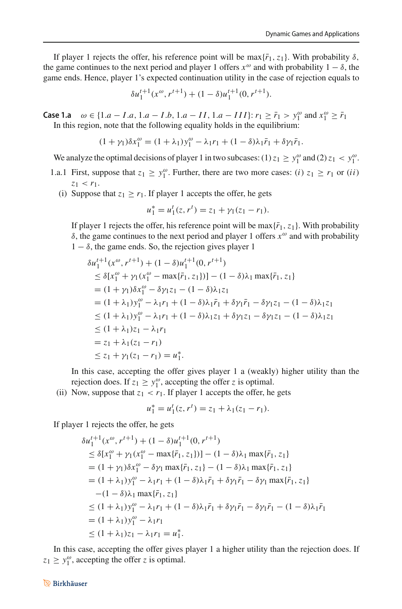If player 1 rejects the offer, his reference point will be max $\{\bar{r}_1, z_1\}$ . With probability  $\delta$ , the game continues to the next period and player 1 offers  $x^{\omega}$  and with probability  $1 - \delta$ , the game ends. Hence, player 1's expected continuation utility in the case of rejection equals to

$$
\delta u_1^{t+1}(x^{\omega}, r^{t+1}) + (1 - \delta)u_1^{t+1}(0, r^{t+1}).
$$

**Case 1.a**  $\omega$  ∈ {1.*a* − *I*.*a*, 1.*a* − *I*.*b*, 1.*a* − *II*, 1.*a* − *III*}: *r*<sub>1</sub> ≥  $\bar{r}_1 > y_1^{\omega}$  and  $x_1^{\omega} \ge \bar{r}_1$ In this region, note that the following equality holds in the equilibrium:

$$
(1 + \gamma_1)\delta x_1^{\omega} = (1 + \lambda_1)y_1^{\omega} - \lambda_1 r_1 + (1 - \delta)\lambda_1 \bar{r}_1 + \delta \gamma_1 \bar{r}_1.
$$

We analyze the optimal decisions of player 1 in two subcases: (1)  $z_1 \ge y_1^{\omega}$  and (2)  $z_1 < y_1^{\omega}$ .

- 1.a.1 First, suppose that  $z_1 \ge y_1^{\omega}$ . Further, there are two more cases: (*i*)  $z_1 \ge r_1$  or (*ii*)  $z_1$  <  $r_1$ .
	- (i) Suppose that  $z_1 \ge r_1$ . If player 1 accepts the offer, he gets

$$
u_1^* = u_1^t(z, r^t) = z_1 + \gamma_1(z_1 - r_1).
$$

If player 1 rejects the offer, his reference point will be max $\{\bar{r}_1, z_1\}$ . With probability δ, the game continues to the next period and player 1 offers *x*<sup>ω</sup> and with probability  $1 - \delta$ , the game ends. So, the rejection gives player 1

$$
\delta u_1^{t+1}(x^{\omega}, r^{t+1}) + (1 - \delta)u_1^{t+1}(0, r^{t+1})
$$
  
\n
$$
\leq \delta[x_1^{\omega} + \gamma_1(x_1^{\omega} - \max\{\bar{r}_1, z_1\})] - (1 - \delta)\lambda_1 \max\{\bar{r}_1, z_1\}
$$
  
\n
$$
= (1 + \gamma_1)\delta x_1^{\omega} - \delta \gamma_1 z_1 - (1 - \delta)\lambda_1 z_1
$$
  
\n
$$
= (1 + \lambda_1)y_1^{\omega} - \lambda_1 r_1 + (1 - \delta)\lambda_1 \bar{r}_1 + \delta \gamma_1 \bar{r}_1 - \delta \gamma_1 z_1 - (1 - \delta)\lambda_1 z_1
$$
  
\n
$$
\leq (1 + \lambda_1)y_1^{\omega} - \lambda_1 r_1 + (1 - \delta)\lambda_1 z_1 + \delta \gamma_1 z_1 - \delta \gamma_1 z_1 - (1 - \delta)\lambda_1 z_1
$$
  
\n
$$
\leq (1 + \lambda_1)z_1 - \lambda_1 r_1
$$
  
\n
$$
= z_1 + \lambda_1(z_1 - r_1)
$$
  
\n
$$
\leq z_1 + \gamma_1(z_1 - r_1) = u_1^*.
$$

In this case, accepting the offer gives player 1 a (weakly) higher utility than the rejection does. If  $z_1 \geq y_1^{\omega}$ , accepting the offer *z* is optimal.

(ii) Now, suppose that  $z_1 < r_1$ . If player 1 accepts the offer, he gets

$$
u_1^* = u_1^t(z, r^t) = z_1 + \lambda_1(z_1 - r_1).
$$

If player 1 rejects the offer, he gets

$$
\delta u_1^{t+1}(x^{\omega}, r^{t+1}) + (1 - \delta)u_1^{t+1}(0, r^{t+1})
$$
  
\n
$$
\leq \delta[x_1^{\omega} + \gamma_1(x_1^{\omega} - \max\{\bar{r}_1, z_1\})] - (1 - \delta)\lambda_1 \max\{\bar{r}_1, z_1\}
$$
  
\n
$$
= (1 + \gamma_1)\delta x_1^{\omega} - \delta\gamma_1 \max\{\bar{r}_1, z_1\} - (1 - \delta)\lambda_1 \max\{\bar{r}_1, z_1\}
$$
  
\n
$$
= (1 + \lambda_1)y_1^{\omega} - \lambda_1 r_1 + (1 - \delta)\lambda_1 \bar{r}_1 + \delta\gamma_1 \bar{r}_1 - \delta\gamma_1 \max\{\bar{r}_1, z_1\}
$$
  
\n
$$
- (1 - \delta)\lambda_1 \max\{\bar{r}_1, z_1\}
$$
  
\n
$$
\leq (1 + \lambda_1)y_1^{\omega} - \lambda_1 r_1 + (1 - \delta)\lambda_1 \bar{r}_1 + \delta\gamma_1 \bar{r}_1 - \delta\gamma_1 \bar{r}_1 - (1 - \delta)\lambda_1 \bar{r}_1
$$
  
\n
$$
= (1 + \lambda_1)y_1^{\omega} - \lambda_1 r_1
$$
  
\n
$$
\leq (1 + \lambda_1)z_1 - \lambda_1 r_1 = u_1^*.
$$

In this case, accepting the offer gives player 1 a higher utility than the rejection does. If  $z_1 \geq y_1^{\omega}$ , accepting the offer *z* is optimal.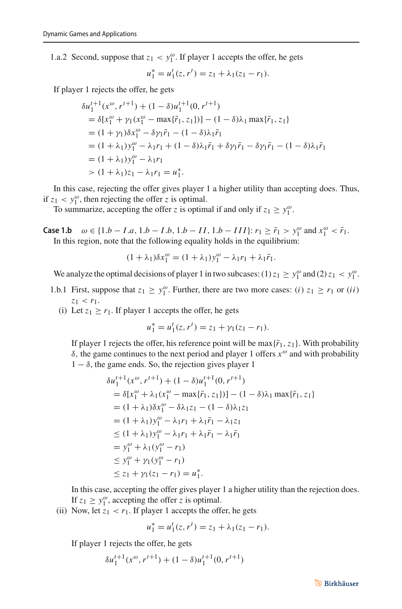1.a.2 Second, suppose that  $z_1 < y_1^{\omega}$ . If player 1 accepts the offer, he gets

$$
u_1^* = u_1^t(z, r^t) = z_1 + \lambda_1(z_1 - r_1).
$$

If player 1 rejects the offer, he gets

$$
\delta u_1^{t+1}(x^{\omega}, r^{t+1}) + (1 - \delta)u_1^{t+1}(0, r^{t+1})
$$
  
=  $\delta[x_1^{\omega} + \gamma_1(x_1^{\omega} - \max{\{\bar{r}_1, z_1\}})] - (1 - \delta)\lambda_1 \max{\{\bar{r}_1, z_1\}}$   
=  $(1 + \gamma_1)\delta x_1^{\omega} - \delta \gamma_1 \bar{r}_1 - (1 - \delta)\lambda_1 \bar{r}_1$   
=  $(1 + \lambda_1) y_1^{\omega} - \lambda_1 r_1 + (1 - \delta)\lambda_1 \bar{r}_1 + \delta \gamma_1 \bar{r}_1 - \delta \gamma_1 \bar{r}_1 - (1 - \delta)\lambda_1 \bar{r}_1$   
=  $(1 + \lambda_1) y_1^{\omega} - \lambda_1 r_1$   
>  $(1 + \lambda_1) z_1 - \lambda_1 r_1 = u_1^*$ .

In this case, rejecting the offer gives player 1 a higher utility than accepting does. Thus, if  $z_1 < y_1^{\omega}$ , then rejecting the offer *z* is optimal.

To summarize, accepting the offer *z* is optimal if and only if  $z_1 \ge y_1^{\omega}$ .

**Case 1.b**  $ω ∈ {1.b − I.a, 1.b − I.b, 1.b − II, 1.b − III}$ :  $r_1 ≥ r_1 > y_1^ω$  and  $x_1^ω < r_1$ . In this region, note that the following equality holds in the equilibrium:

$$
(1 + \lambda_1)\delta x_1^{\omega} = (1 + \lambda_1)y_1^{\omega} - \lambda_1 r_1 + \lambda_1 \bar{r}_1.
$$

We analyze the optimal decisions of player 1 in two subcases: (1)  $z_1 \ge y_1^{\omega}$  and (2)  $z_1 < y_1^{\omega}$ .

- 1.b.1 First, suppose that  $z_1 \ge y_1^{\omega}$ . Further, there are two more cases: (*i*)  $z_1 \ge r_1$  or (*ii*)  $z_1$  <  $r_1$ .
	- (i) Let  $z_1 \ge r_1$ . If player 1 accepts the offer, he gets

$$
u_1^* = u_1^t(z, r^t) = z_1 + \gamma_1(z_1 - r_1).
$$

If player 1 rejects the offer, his reference point will be max $\{\bar{r}_1, z_1\}$ . With probability δ, the game continues to the next period and player 1 offers *x*<sup>ω</sup> and with probability  $1 - \delta$ , the game ends. So, the rejection gives player 1

$$
\delta u_1^{t+1}(x^{\omega}, r^{t+1}) + (1 - \delta)u_1^{t+1}(0, r^{t+1})
$$
  
\n
$$
= \delta[x_1^{\omega} + \lambda_1(x_1^{\omega} - \max\{\bar{r}_1, z_1\})] - (1 - \delta)\lambda_1 \max\{\bar{r}_1, z_1\}
$$
  
\n
$$
= (1 + \lambda_1)\delta x_1^{\omega} - \delta\lambda_1 z_1 - (1 - \delta)\lambda_1 z_1
$$
  
\n
$$
= (1 + \lambda_1)y_1^{\omega} - \lambda_1 r_1 + \lambda_1 \bar{r}_1 - \lambda_1 z_1
$$
  
\n
$$
\leq (1 + \lambda_1)y_1^{\omega} - \lambda_1 r_1 + \lambda_1 \bar{r}_1 - \lambda_1 \bar{r}_1
$$
  
\n
$$
= y_1^{\omega} + \lambda_1(y_1^{\omega} - r_1)
$$
  
\n
$$
\leq y_1^{\omega} + \gamma_1(y_1^{\omega} - r_1)
$$
  
\n
$$
\leq z_1 + \gamma_1(z_1 - r_1) = u_1^*.
$$

In this case, accepting the offer gives player 1 a higher utility than the rejection does. If  $z_1 \geq y_1^{\omega}$ , accepting the offer *z* is optimal.

(ii) Now, let  $z_1 < r_1$ . If player 1 accepts the offer, he gets

$$
u_1^* = u_1^t(z, r^t) = z_1 + \lambda_1(z_1 - r_1).
$$

If player 1 rejects the offer, he gets

$$
\delta u_1^{t+1}(x^{\omega}, r^{t+1}) + (1 - \delta)u_1^{t+1}(0, r^{t+1})
$$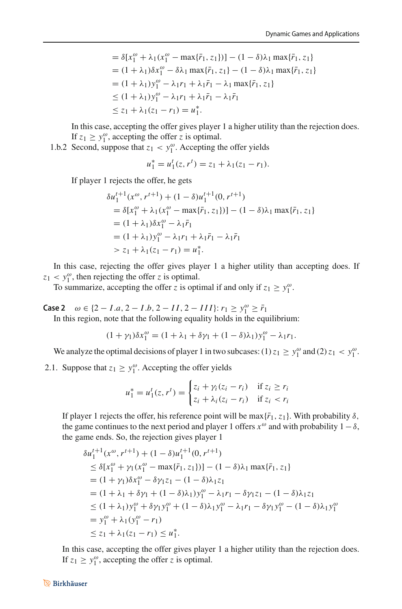$$
= \delta[x_1^{\omega} + \lambda_1(x_1^{\omega} - \max{\{\bar{r}_1, z_1\}})] - (1 - \delta)\lambda_1 \max{\{\bar{r}_1, z_1\}} = (1 + \lambda_1)\delta x_1^{\omega} - \delta\lambda_1 \max{\{\bar{r}_1, z_1\}} - (1 - \delta)\lambda_1 \max{\{\bar{r}_1, z_1\}} = (1 + \lambda_1)y_1^{\omega} - \lambda_1 r_1 + \lambda_1 \bar{r}_1 - \lambda_1 \max{\{\bar{r}_1, z_1\}} \le (1 + \lambda_1)y_1^{\omega} - \lambda_1 r_1 + \lambda_1 \bar{r}_1 - \lambda_1 \bar{r}_1 \le z_1 + \lambda_1(z_1 - r_1) = u_1^*.
$$

In this case, accepting the offer gives player 1 a higher utility than the rejection does. If  $z_1 \geq y_1^{\omega}$ , accepting the offer *z* is optimal.

1.b.2 Second, suppose that  $z_1 < y_1^{\omega}$ . Accepting the offer yields

$$
u_1^* = u_1^t(z, r^t) = z_1 + \lambda_1(z_1 - r_1).
$$

If player 1 rejects the offer, he gets

$$
\delta u_1^{t+1}(x^{\omega}, r^{t+1}) + (1 - \delta)u_1^{t+1}(0, r^{t+1})
$$
  
=  $\delta[x_1^{\omega} + \lambda_1(x_1^{\omega} - \max{\{\bar{r}_1, z_1\}})] - (1 - \delta)\lambda_1 \max{\{\bar{r}_1, z_1\}}$   
=  $(1 + \lambda_1)\delta x_1^{\omega} - \lambda_1 \bar{r}_1$   
=  $(1 + \lambda_1)y_1^{\omega} - \lambda_1 r_1 + \lambda_1 \bar{r}_1 - \lambda_1 \bar{r}_1$   
>  $z_1 + \lambda_1(z_1 - r_1) = u_1^*$ .

In this case, rejecting the offer gives player 1 a higher utility than accepting does. If  $z_1 < y_1^{\omega}$ , then rejecting the offer *z* is optimal.

To summarize, accepting the offer *z* is optimal if and only if  $z_1 \ge y_1^{\omega}$ .

**Case 2**  $\omega \in \{2 - I.a, 2 - I.b, 2 - II, 2 - III\}$ :  $r_1 \ge y_1^{\omega} \ge \bar{r}_1$ 

In this region, note that the following equality holds in the equilibrium:

$$
(1+\gamma_1)\delta x_1^{\omega} = (1+\lambda_1+\delta\gamma_1+(1-\delta)\lambda_1)y_1^{\omega}-\lambda_1r_1.
$$

We analyze the optimal decisions of player 1 in two subcases: (1)  $z_1 \ge y_1^{\omega}$  and (2)  $z_1 < y_1^{\omega}$ .

2.1. Suppose that  $z_1 \ge y_1^{\omega}$ . Accepting the offer yields

$$
u_1^* = u_1^t(z, r^t) = \begin{cases} z_i + \gamma_i (z_i - r_i) & \text{if } z_i \ge r_i \\ z_i + \lambda_i (z_i - r_i) & \text{if } z_i < r_i \end{cases}
$$

If player 1 rejects the offer, his reference point will be max $\{\bar{r}_1, z_1\}$ . With probability  $\delta$ , the game continues to the next period and player 1 offers  $x^{\omega}$  and with probability  $1-\delta$ , the game ends. So, the rejection gives player 1

$$
\delta u_1^{t+1}(x^{\omega}, r^{t+1}) + (1 - \delta)u_1^{t+1}(0, r^{t+1})
$$
  
\n
$$
\leq \delta [x_1^{\omega} + \gamma_1(x_1^{\omega} - \max{\{\bar{r}_1, z_1\}})] - (1 - \delta)\lambda_1 \max{\{\bar{r}_1, z_1\}}
$$
  
\n
$$
= (1 + \gamma_1)\delta x_1^{\omega} - \delta \gamma_1 z_1 - (1 - \delta)\lambda_1 z_1
$$
  
\n
$$
= (1 + \lambda_1 + \delta \gamma_1 + (1 - \delta)\lambda_1)y_1^{\omega} - \lambda_1 r_1 - \delta \gamma_1 z_1 - (1 - \delta)\lambda_1 z_1
$$
  
\n
$$
\leq (1 + \lambda_1)y_1^{\omega} + \delta \gamma_1 y_1^{\omega} + (1 - \delta)\lambda_1 y_1^{\omega} - \lambda_1 r_1 - \delta \gamma_1 y_1^{\omega} - (1 - \delta)\lambda_1 y_1^{\omega}
$$
  
\n
$$
= y_1^{\omega} + \lambda_1(y_1^{\omega} - r_1)
$$
  
\n
$$
\leq z_1 + \lambda_1(z_1 - r_1) \leq u_1^*.
$$

In this case, accepting the offer gives player 1 a higher utility than the rejection does. If  $z_1 \geq y_1^{\omega}$ , accepting the offer *z* is optimal.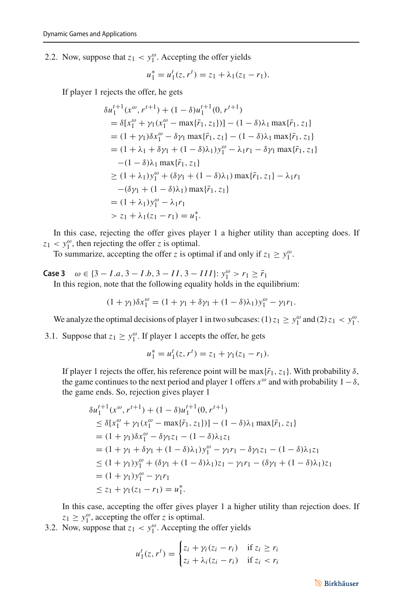2.2. Now, suppose that  $z_1 < y_1^{\omega}$ . Accepting the offer yields

$$
u_1^* = u_1^t(z, r^t) = z_1 + \lambda_1(z_1 - r_1).
$$

If player 1 rejects the offer, he gets

$$
\delta u_1^{t+1}(x^{\omega}, r^{t+1}) + (1 - \delta)u_1^{t+1}(0, r^{t+1})
$$
  
\n
$$
= \delta[x_1^{\omega} + \gamma_1(x_1^{\omega} - \max{\{\bar{r}_1, z_1\}})] - (1 - \delta)\lambda_1 \max{\{\bar{r}_1, z_1\}}
$$
  
\n
$$
= (1 + \gamma_1)\delta x_1^{\omega} - \delta \gamma_1 \max{\{\bar{r}_1, z_1\}} - (1 - \delta)\lambda_1 \max{\{\bar{r}_1, z_1\}}
$$
  
\n
$$
= (1 + \lambda_1 + \delta \gamma_1 + (1 - \delta)\lambda_1)y_1^{\omega} - \lambda_1 r_1 - \delta \gamma_1 \max{\{\bar{r}_1, z_1\}}
$$
  
\n
$$
- (1 - \delta)\lambda_1 \max{\{\bar{r}_1, z_1\}}
$$
  
\n
$$
\ge (1 + \lambda_1)y_1^{\omega} + (\delta\gamma_1 + (1 - \delta)\lambda_1) \max{\{\bar{r}_1, z_1\}} - \lambda_1 r_1
$$
  
\n
$$
- (\delta\gamma_1 + (1 - \delta)\lambda_1) \max{\{\bar{r}_1, z_1\}}
$$
  
\n
$$
= (1 + \lambda_1)y_1^{\omega} - \lambda_1 r_1
$$
  
\n
$$
> z_1 + \lambda_1(z_1 - r_1) = u_1^*.
$$

In this case, rejecting the offer gives player 1 a higher utility than accepting does. If  $z_1 < y_1^{\omega}$ , then rejecting the offer *z* is optimal.

To summarize, accepting the offer *z* is optimal if and only if  $z_1 \ge y_1^{\omega}$ .

**Case 3**  $\omega \in \{3 - I.a, 3 - I.b, 3 - II, 3 - III\}$ :  $y_1^{\omega} > r_1 \geq \bar{r}_1$ In this region, note that the following equality holds in the equilibrium:

$$
(1 + \gamma_1)\delta x_1^{\omega} = (1 + \gamma_1 + \delta\gamma_1 + (1 - \delta)\lambda_1)y_1^{\omega} - \gamma_1r_1.
$$

We analyze the optimal decisions of player 1 in two subcases: (1)  $z_1 \ge y_1^{\omega}$  and (2)  $z_1 < y_1^{\omega}$ .

3.1. Suppose that  $z_1 \ge y_1^{\omega}$ . If player 1 accepts the offer, he gets

$$
u_1^* = u_1^t(z, r^t) = z_1 + \gamma_1(z_1 - r_1).
$$

If player 1 rejects the offer, his reference point will be max $\{\bar{r}_1, z_1\}$ . With probability  $\delta$ , the game continues to the next period and player 1 offers  $x^{\omega}$  and with probability  $1-\delta$ , the game ends. So, rejection gives player 1

$$
\delta u_1^{t+1}(x^{\omega}, r^{t+1}) + (1 - \delta)u_1^{t+1}(0, r^{t+1})
$$
  
\n
$$
\leq \delta [x_1^{\omega} + \gamma_1(x_1^{\omega} - \max{\{\bar{r}_1, z_1\}})] - (1 - \delta)\lambda_1 \max{\{\bar{r}_1, z_1\}}
$$
  
\n
$$
= (1 + \gamma_1)\delta x_1^{\omega} - \delta \gamma_1 z_1 - (1 - \delta)\lambda_1 z_1
$$
  
\n
$$
= (1 + \gamma_1 + \delta \gamma_1 + (1 - \delta)\lambda_1)y_1^{\omega} - \gamma_1 r_1 - \delta \gamma_1 z_1 - (1 - \delta)\lambda_1 z_1
$$
  
\n
$$
\leq (1 + \gamma_1)y_1^{\omega} + (\delta \gamma_1 + (1 - \delta)\lambda_1)z_1 - \gamma_1 r_1 - (\delta \gamma_1 + (1 - \delta)\lambda_1)z_1
$$
  
\n
$$
= (1 + \gamma_1)y_1^{\omega} - \gamma_1 r_1
$$
  
\n
$$
\leq z_1 + \gamma_1(z_1 - r_1) = u_1^*.
$$

In this case, accepting the offer gives player 1 a higher utility than rejection does. If  $z_1 \geq y_1^{\omega}$ , accepting the offer *z* is optimal.

3.2. Now, suppose that  $z_1 < y_1^{\omega}$ . Accepting the offer yields

$$
u_1^t(z, r^t) = \begin{cases} z_i + \gamma_i (z_i - r_i) & \text{if } z_i \ge r_i \\ z_i + \lambda_i (z_i - r_i) & \text{if } z_i < r_i \end{cases}
$$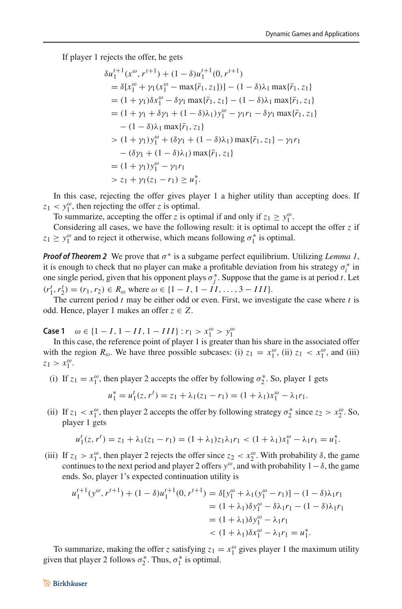If player 1 rejects the offer, he gets

$$
\delta u_1^{t+1}(x^{\omega}, r^{t+1}) + (1 - \delta)u_1^{t+1}(0, r^{t+1})
$$
  
\n
$$
= \delta[x_1^{\omega} + \gamma_1(x_1^{\omega} - \max{\{\bar{r}_1, z_1\}}] - (1 - \delta)\lambda_1 \max{\{\bar{r}_1, z_1\}}
$$
  
\n
$$
= (1 + \gamma_1)\delta x_1^{\omega} - \delta \gamma_1 \max{\{\bar{r}_1, z_1\}} - (1 - \delta)\lambda_1 \max{\{\bar{r}_1, z_1\}}
$$
  
\n
$$
= (1 + \gamma_1 + \delta\gamma_1 + (1 - \delta)\lambda_1)y_1^{\omega} - \gamma_1 r_1 - \delta\gamma_1 \max{\{\bar{r}_1, z_1\}}
$$
  
\n
$$
- (1 - \delta)\lambda_1 \max{\{\bar{r}_1, z_1\}}
$$
  
\n
$$
> (1 + \gamma_1)y_1^{\omega} + (\delta\gamma_1 + (1 - \delta)\lambda_1) \max{\{\bar{r}_1, z_1\}} - \gamma_1 r_1
$$
  
\n
$$
- (\delta\gamma_1 + (1 - \delta)\lambda_1) \max{\{\bar{r}_1, z_1\}}
$$
  
\n
$$
= (1 + \gamma_1)y_1^{\omega} - \gamma_1 r_1
$$
  
\n
$$
> z_1 + \gamma_1(z_1 - r_1) \ge u_1^*.
$$

In this case, rejecting the offer gives player 1 a higher utility than accepting does. If  $z_1 < y_1^{\omega}$ , then rejecting the offer *z* is optimal.

To summarize, accepting the offer *z* is optimal if and only if  $z_1 \ge y_1^{\omega}$ .

Considering all cases, we have the following result: it is optimal to accept the offer *z* if  $z_1 \geq y_1^{\omega}$  and to reject it otherwise, which means following  $\sigma_1^*$  is optimal.

*Proof of Theorem 2* We prove that  $\sigma^*$  is a subgame perfect equilibrium. Utilizing *Lemma 1*, it is enough to check that no player can make a profitable deviation from his strategy  $\sigma_i^*$  in one single period, given that his opponent plays  $\sigma_j^*$ . Suppose that the game is at period *t*. Let  $(r_1^t, r_2^t) = (r_1, r_2) \in R_\omega$  where  $\omega \in \{1 - I, 1 - II, \ldots, 3 - III\}.$ 

The current period *t* may be either odd or even. First, we investigate the case where *t* is odd. Hence, player 1 makes an offer  $z \in Z$ .

**Case 1**  $\omega$  ∈ {1 − *I*, 1 − *II*, 1 − *III*} : *r*<sub>1</sub> > *x*<sub>1</sub><sup> $\omega$ </sup> > *y*<sub>1</sub><sup> $\omega$ </sup>

In this case, the reference point of player 1 is greater than his share in the associated offer with the region  $R_{\omega}$ . We have three possible subcases: (i)  $z_1 = x_1^{\omega}$ , (ii)  $z_1 < x_1^{\omega}$ , and (iii)  $z_1 > x_1^{\omega}$ .

(i) If  $z_1 = x_1^\omega$ , then player 2 accepts the offer by following  $\sigma_2^*$ . So, player 1 gets

$$
u_1^* = u_1^t(z, r^t) = z_1 + \lambda_1(z_1 - r_1) = (1 + \lambda_1)x_1^{\omega} - \lambda_1r_1.
$$

(ii) If  $z_1 < x_1^{\omega}$ , then player 2 accepts the offer by following strategy  $\sigma_2^*$  since  $z_2 > x_2^{\omega}$ . So, player 1 gets

$$
u_1^t(z, r^t) = z_1 + \lambda_1(z_1 - r_1) = (1 + \lambda_1)z_1\lambda_1r_1 < (1 + \lambda_1)x_1^{\omega} - \lambda_1r_1 = u_1^*.
$$

(iii) If  $z_1 > x_1^{\omega}$ , then player 2 rejects the offer since  $z_2 < x_2^{\omega}$ . With probability  $\delta$ , the game continues to the next period and player 2 offers  $y^{\omega}$ , and with probability 1 –  $\delta$ , the game ends. So, player 1's expected continuation utility is

$$
u_1^{t+1}(y^{\omega}, r^{t+1}) + (1 - \delta)u_1^{t+1}(0, r^{t+1}) = \delta[y_1^{\omega} + \lambda_1(y_1^{\omega} - r_1)] - (1 - \delta)\lambda_1r_1
$$
  
=  $(1 + \lambda_1)\delta y_1^{\omega} - \delta\lambda_1r_1 - (1 - \delta)\lambda_1r_1$   
=  $(1 + \lambda_1)\delta y_1^{\omega} - \lambda_1r_1$   
 $< (1 + \lambda_1)\delta x_1^{\omega} - \lambda_1r_1 = u_1^*$ .

To summarize, making the offer *z* satisfying  $z_1 = x_1^{\omega}$  gives player 1 the maximum utility given that player 2 follows  $\sigma_2^*$ . Thus,  $\sigma_1^*$  is optimal.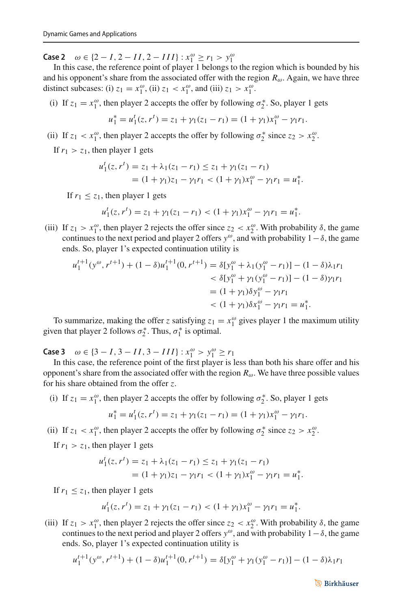**Case 2**  $\omega$  ∈ {2 − *I*, 2 − *II*, 2 − *III*} :  $x_1^{\omega} \ge r_1 > y_1^{\omega}$ 

In this case, the reference point of player 1 belongs to the region which is bounded by his and his opponent's share from the associated offer with the region  $R_{\omega}$ . Again, we have three distinct subcases: (i)  $z_1 = x_1^{\omega}$ , (ii)  $z_1 < x_1^{\omega}$ , and (iii)  $z_1 > x_1^{\omega}$ .

(i) If  $z_1 = x_1^\omega$ , then player 2 accepts the offer by following  $\sigma_2^*$ . So, player 1 gets

$$
u_1^* = u_1^t(z, r^t) = z_1 + \gamma_1(z_1 - r_1) = (1 + \gamma_1)x_1^{\omega} - \gamma_1 r_1.
$$

(ii) If  $z_1 < x_1^{\omega}$ , then player 2 accepts the offer by following  $\sigma_2^*$  since  $z_2 > x_2^{\omega}$ .

If  $r_1 > z_1$ , then player 1 gets

$$
u_1^t(z, r^t) = z_1 + \lambda_1(z_1 - r_1) \le z_1 + \gamma_1(z_1 - r_1)
$$
  
=  $(1 + \gamma_1)z_1 - \gamma_1 r_1 < (1 + \gamma_1)x_1^{\omega} - \gamma_1 r_1 = u_1^*.$ 

If  $r_1 \leq z_1$ , then player 1 gets

$$
u_1^t(z, r^t) = z_1 + \gamma_1(z_1 - r_1) < (1 + \gamma_1)x_1^\omega - \gamma_1 r_1 = u_1^*.
$$

(iii) If  $z_1 > x_1^{\omega}$ , then player 2 rejects the offer since  $z_2 < x_2^{\omega}$ . With probability  $\delta$ , the game continues to the next period and player 2 offers  $y^{\omega}$ , and with probability  $1-\delta$ , the game ends. So, player 1's expected continuation utility is

$$
u_1^{t+1}(y^\omega, r^{t+1}) + (1 - \delta)u_1^{t+1}(0, r^{t+1}) = \delta[y_1^\omega + \lambda_1(y_1^\omega - r_1)] - (1 - \delta)\lambda_1 r_1
$$
  

$$
< \delta[y_1^\omega + \gamma_1(y_1^\omega - r_1)] - (1 - \delta)\gamma_1 r_1
$$
  

$$
= (1 + \gamma_1)\delta y_1^\omega - \gamma_1 r_1
$$
  

$$
< (1 + \gamma_1)\delta x_1^\omega - \gamma_1 r_1 = u_1^*.
$$

To summarize, making the offer *z* satisfying  $z_1 = x_1^{\omega}$  gives player 1 the maximum utility given that player 2 follows  $\sigma_2^*$ . Thus,  $\sigma_1^*$  is optimal.

**Case 3**  $\omega$  ∈ {3 − *I*, 3 − *II*, 3 − *III*} :  $x_1^{\omega} > y_1^{\omega} \ge r_1$ 

In this case, the reference point of the first player is less than both his share offer and his opponent's share from the associated offer with the region  $R_{\omega}$ . We have three possible values for his share obtained from the offer *z*.

(i) If  $z_1 = x_1^\omega$ , then player 2 accepts the offer by following  $\sigma_2^*$ . So, player 1 gets

$$
u_1^* = u_1^t(z, r^t) = z_1 + \gamma_1(z_1 - r_1) = (1 + \gamma_1)x_1^{\omega} - \gamma_1 r_1.
$$

(ii) If  $z_1 < x_1^{\omega}$ , then player 2 accepts the offer by following  $\sigma_2^*$  since  $z_2 > x_2^{\omega}$ .

If  $r_1 > z_1$ , then player 1 gets

$$
u'_1(z, r^t) = z_1 + \lambda_1(z_1 - r_1) \le z_1 + \gamma_1(z_1 - r_1)
$$
  
=  $(1 + \gamma_1)z_1 - \gamma_1 r_1 < (1 + \gamma_1)x_1^{\omega} - \gamma_1 r_1 = u_1^*.$ 

If  $r_1 \leq z_1$ , then player 1 gets

$$
u_1^t(z, r^t) = z_1 + \gamma_1(z_1 - r_1) < (1 + \gamma_1)x_1^\omega - \gamma_1 r_1 = u_1^*.
$$

(iii) If  $z_1 > x_1^{\omega}$ , then player 2 rejects the offer since  $z_2 < x_2^{\omega}$ . With probability  $\delta$ , the game continues to the next period and player 2 offers  $y^{\omega}$ , and with probability  $1-\delta$ , the game ends. So, player 1's expected continuation utility is

$$
u_1^{t+1}(y^{\omega}, r^{t+1}) + (1 - \delta)u_1^{t+1}(0, r^{t+1}) = \delta[y_1^{\omega} + \gamma_1(y_1^{\omega} - r_1)] - (1 - \delta)\lambda_1 r_1
$$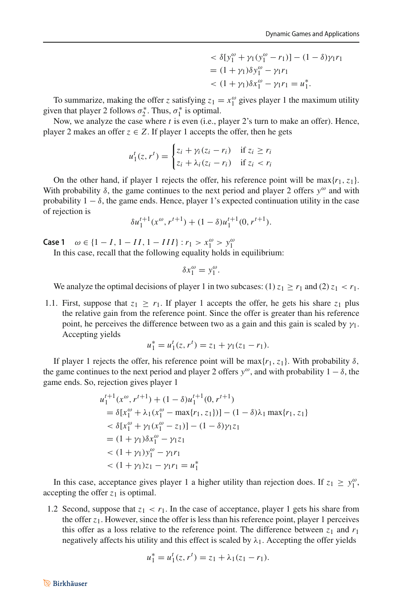$$
\langle \delta[y_1^{\omega} + \gamma_1(y_1^{\omega} - r_1)] - (1 - \delta)\gamma_1 r_1
$$
  
=  $(1 + \gamma_1)\delta y_1^{\omega} - \gamma_1 r_1$   
<  $(1 + \gamma_1)\delta x_1^{\omega} - \gamma_1 r_1 = u_1^*$ .

To summarize, making the offer *z* satisfying  $z_1 = x_1^\omega$  gives player 1 the maximum utility given that player 2 follows  $\sigma_2^*$ . Thus,  $\sigma_1^*$  is optimal.

Now, we analyze the case where *t* is even (i.e., player 2's turn to make an offer). Hence, player 2 makes an offer  $z \in Z$ . If player 1 accepts the offer, then he gets

$$
u_1^t(z, r^t) = \begin{cases} z_i + \gamma_i (z_i - r_i) & \text{if } z_i \ge r_i \\ z_i + \lambda_i (z_i - r_i) & \text{if } z_i < r_i \end{cases}
$$

On the other hand, if player 1 rejects the offer, his reference point will be  $\max\{r_1, z_1\}$ . With probability  $\delta$ , the game continues to the next period and player 2 offers  $y^{\omega}$  and with probability  $1 - \delta$ , the game ends. Hence, player 1's expected continuation utility in the case of rejection is

$$
\delta u_1^{t+1}(x^{\omega}, r^{t+1}) + (1 - \delta)u_1^{t+1}(0, r^{t+1}).
$$

**Case 1**  $\omega \in \{1 - I, 1 - II, 1 - III\} : r_1 > x_1^{\omega} > y_1^{\omega}$ 

In this case, recall that the following equality holds in equilibrium:

$$
\delta x_1^{\omega} = y_1^{\omega}.
$$

We analyze the optimal decisions of player 1 in two subcases:  $(1) z_1 \ge r_1$  and  $(2) z_1 < r_1$ .

1.1. First, suppose that  $z_1 \ge r_1$ . If player 1 accepts the offer, he gets his share  $z_1$  plus the relative gain from the reference point. Since the offer is greater than his reference point, he perceives the difference between two as a gain and this gain is scaled by  $\gamma_1$ . Accepting yields

$$
u_1^* = u_1^t(z, r^t) = z_1 + \gamma_1(z_1 - r_1).
$$

If player 1 rejects the offer, his reference point will be max $\{r_1, z_1\}$ . With probability  $\delta$ , the game continues to the next period and player 2 offers  $y^{\omega}$ , and with probability  $1 - \delta$ , the game ends. So, rejection gives player 1

$$
u_1^{t+1}(x^{\omega}, r^{t+1}) + (1 - \delta)u_1^{t+1}(0, r^{t+1})
$$
  
=  $\delta[x_1^{\omega} + \lambda_1(x_1^{\omega} - \max\{r_1, z_1\})] - (1 - \delta)\lambda_1 \max\{r_1, z_1\}$   
<  $\delta[x_1^{\omega} + \gamma_1(x_1^{\omega} - z_1)] - (1 - \delta)\gamma_1 z_1$   
=  $(1 + \gamma_1)\delta x_1^{\omega} - \gamma_1 z_1$   
<  $(1 + \gamma_1)y_1^{\omega} - \gamma_1 r_1$   
 $(1 + \gamma_1)z_1 - \gamma_1 r_1 = u_1^*$ 

In this case, acceptance gives player 1 a higher utility than rejection does. If  $z_1 \ge y_1^{\omega}$ , accepting the offer  $z_1$  is optimal.

1.2 Second, suppose that  $z_1 < r_1$ . In the case of acceptance, player 1 gets his share from the offer *z*1. However, since the offer is less than his reference point, player 1 perceives this offer as a loss relative to the reference point. The difference between  $z_1$  and  $r_1$ negatively affects his utility and this effect is scaled by  $\lambda_1$ . Accepting the offer yields

$$
u_1^* = u_1^t(z, r^t) = z_1 + \lambda_1(z_1 - r_1).
$$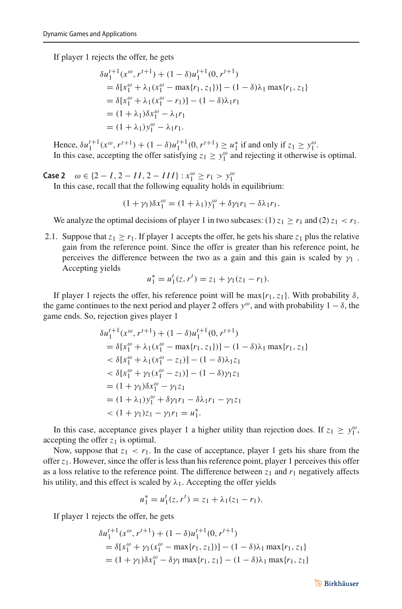If player 1 rejects the offer, he gets

$$
\delta u_1^{t+1}(x^{\omega}, r^{t+1}) + (1 - \delta)u_1^{t+1}(0, r^{t+1})
$$
  
=  $\delta[x_1^{\omega} + \lambda_1(x_1^{\omega} - \max\{r_1, z_1\})] - (1 - \delta)\lambda_1 \max\{r_1, z_1\}$   
=  $\delta[x_1^{\omega} + \lambda_1(x_1^{\omega} - r_1)] - (1 - \delta)\lambda_1 r_1$   
=  $(1 + \lambda_1)\delta x_1^{\omega} - \lambda_1 r_1$   
=  $(1 + \lambda_1)y_1^{\omega} - \lambda_1 r_1$ .

Hence,  $\delta u_1^{t+1}(x^{\omega}, r^{t+1}) + (1 - \delta)u_1^{t+1}(0, r^{t+1}) \ge u_1^*$  if and only if  $z_1 \ge y_1^{\omega}$ . In this case, accepting the offer satisfying  $z_1 \ge y_1^{\omega}$  and rejecting it otherwise is optimal.

**Case 2**  $\omega$  ∈ {2 − *I*, 2 − *II*, 2 − *III*} :  $x_1^{\omega} \ge r_1 > y_1^{\omega}$ 

In this case, recall that the following equality holds in equilibrium:

$$
(1+\gamma_1)\delta x_1^{\omega} = (1+\lambda_1)y_1^{\omega} + \delta\gamma_1r_1 - \delta\lambda_1r_1.
$$

We analyze the optimal decisions of player 1 in two subcases:  $(1) z_1 \ge r_1$  and  $(2) z_1 < r_1$ .

2.1. Suppose that  $z_1 > r_1$ . If player 1 accepts the offer, he gets his share  $z_1$  plus the relative gain from the reference point. Since the offer is greater than his reference point, he perceives the difference between the two as a gain and this gain is scaled by  $\gamma_1$ . Accepting yields

$$
u_1^* = u_1^t(z, r^t) = z_1 + \gamma_1(z_1 - r_1).
$$

If player 1 rejects the offer, his reference point will be max $\{r_1, z_1\}$ . With probability  $\delta$ , the game continues to the next period and player 2 offers  $y^{\omega}$ , and with probability  $1 - \delta$ , the game ends. So, rejection gives player 1

$$
\delta u_1^{t+1}(x^\omega, r^{t+1}) + (1 - \delta)u_1^{t+1}(0, r^{t+1})
$$
  
=  $\delta[x_1^\omega + \lambda_1(x_1^\omega - \max\{r_1, z_1\})] - (1 - \delta)\lambda_1 \max\{r_1, z_1\}$   
<  $\delta[x_1^\omega + \lambda_1(x_1^\omega - z_1)] - (1 - \delta)\lambda_1 z_1$   
<  $\delta[x_1^\omega + \gamma_1(x_1^\omega - z_1)] - (1 - \delta)\gamma_1 z_1$   
=  $(1 + \gamma_1)\delta x_1^\omega - \gamma_1 z_1$   
=  $(1 + \lambda_1)y_1^\omega + \delta\gamma_1 r_1 - \delta\lambda_1 r_1 - \gamma_1 z_1$   
<  $(1 + \gamma_1)z_1 - \gamma_1 r_1 = u_1^*$ .

In this case, acceptance gives player 1 a higher utility than rejection does. If  $z_1 \ge y_1^{\omega}$ , accepting the offer  $z_1$  is optimal.

Now, suppose that  $z_1 < r_1$ . In the case of acceptance, player 1 gets his share from the offer  $z_1$ . However, since the offer is less than his reference point, player 1 perceives this offer as a loss relative to the reference point. The difference between  $z_1$  and  $r_1$  negatively affects his utility, and this effect is scaled by  $\lambda_1$ . Accepting the offer yields

$$
u_1^* = u_1^t(z, r^t) = z_1 + \lambda_1(z_1 - r_1).
$$

If player 1 rejects the offer, he gets

$$
\delta u_1^{t+1}(x^\omega, r^{t+1}) + (1 - \delta)u_1^{t+1}(0, r^{t+1})
$$
  
=  $\delta[x_1^\omega + \gamma_1(x_1^\omega - \max\{r_1, z_1\})] - (1 - \delta)\lambda_1 \max\{r_1, z_1\}$   
=  $(1 + \gamma_1)\delta x_1^\omega - \delta \gamma_1 \max\{r_1, z_1\} - (1 - \delta)\lambda_1 \max\{r_1, z_1\}$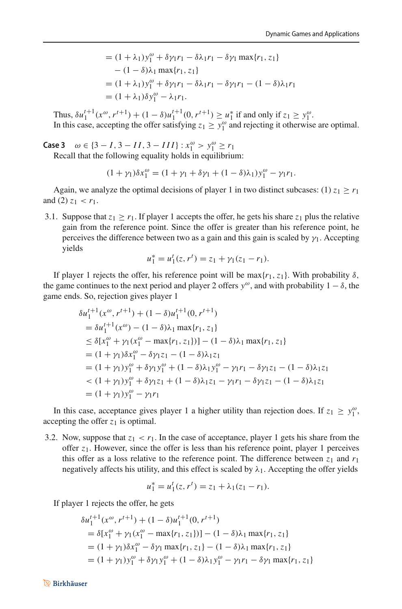$$
= (1 + \lambda_1)y_1^{\omega} + \delta \gamma_1 r_1 - \delta \lambda_1 r_1 - \delta \gamma_1 \max\{r_1, z_1\} - (1 - \delta)\lambda_1 \max\{r_1, z_1\} = (1 + \lambda_1)y_1^{\omega} + \delta \gamma_1 r_1 - \delta \lambda_1 r_1 - \delta \gamma_1 r_1 - (1 - \delta)\lambda_1 r_1 = (1 + \lambda_1)\delta y_1^{\omega} - \lambda_1 r_1.
$$

Thus,  $\delta u_1^{t+1}(x^{\omega}, r^{t+1}) + (1 - \delta)u_1^{t+1}(0, r^{t+1}) \ge u_1^*$  if and only if  $z_1 \ge y_1^{\omega}$ . In this case, accepting the offer satisfying  $z_1 \ge y_1^{\omega}$  and rejecting it otherwise are optimal.

**Case 3**  $\omega \in \{3 - I, 3 - II, 3 - III\} : x_1^{\omega} > y_1^{\omega} \ge r_1$ 

Recall that the following equality holds in equilibrium:

$$
(1 + \gamma_1)\delta x_1^{\omega} = (1 + \gamma_1 + \delta\gamma_1 + (1 - \delta)\lambda_1)y_1^{\omega} - \gamma_1r_1.
$$

Again, we analyze the optimal decisions of player 1 in two distinct subcases: (1)  $z_1 > r_1$ and (2)  $z_1 < r_1$ .

3.1. Suppose that  $z_1 \ge r_1$ . If player 1 accepts the offer, he gets his share  $z_1$  plus the relative gain from the reference point. Since the offer is greater than his reference point, he perceives the difference between two as a gain and this gain is scaled by  $\gamma_1$ . Accepting yields

$$
u_1^* = u_1^t(z, r^t) = z_1 + \gamma_1(z_1 - r_1).
$$

If player 1 rejects the offer, his reference point will be  $\max\{r_1, z_1\}$ . With probability  $\delta$ , the game continues to the next period and player 2 offers  $y^{\omega}$ , and with probability  $1 - \delta$ , the game ends. So, rejection gives player 1

$$
\delta u_1^{t+1}(x^{\omega}, r^{t+1}) + (1 - \delta)u_1^{t+1}(0, r^{t+1})
$$
  
\n
$$
= \delta u_1^{t+1}(x^{\omega}) - (1 - \delta)\lambda_1 \max\{r_1, z_1\}
$$
  
\n
$$
\leq \delta[x_1^{\omega} + \gamma_1(x_1^{\omega} - \max\{r_1, z_1\})] - (1 - \delta)\lambda_1 \max\{r_1, z_1\}
$$
  
\n
$$
= (1 + \gamma_1)\delta x_1^{\omega} - \delta \gamma_1 z_1 - (1 - \delta)\lambda_1 z_1
$$
  
\n
$$
= (1 + \gamma_1)y_1^{\omega} + \delta \gamma_1 y_1^{\omega} + (1 - \delta)\lambda_1 y_1^{\omega} - \gamma_1 r_1 - \delta \gamma_1 z_1 - (1 - \delta)\lambda_1 z_1
$$
  
\n
$$
< (1 + \gamma_1)y_1^{\omega} + \delta \gamma_1 z_1 + (1 - \delta)\lambda_1 z_1 - \gamma_1 r_1 - \delta \gamma_1 z_1 - (1 - \delta)\lambda_1 z_1
$$
  
\n
$$
= (1 + \gamma_1)y_1^{\omega} - \gamma_1 r_1
$$

In this case, acceptance gives player 1 a higher utility than rejection does. If  $z_1 \ge y_1^{\omega}$ , accepting the offer  $z_1$  is optimal.

3.2. Now, suppose that  $z_1 < r_1$ . In the case of acceptance, player 1 gets his share from the offer  $z_1$ . However, since the offer is less than his reference point, player 1 perceives this offer as a loss relative to the reference point. The difference between  $z_1$  and  $r_1$ negatively affects his utility, and this effect is scaled by  $\lambda_1$ . Accepting the offer yields

$$
u_1^* = u_1^t(z, r^t) = z_1 + \lambda_1(z_1 - r_1).
$$

If player 1 rejects the offer, he gets

$$
\delta u_1^{t+1}(x^\omega, r^{t+1}) + (1 - \delta)u_1^{t+1}(0, r^{t+1})
$$
  
=  $\delta[x_1^\omega + \gamma_1(x_1^\omega - \max\{r_1, z_1\})] - (1 - \delta)\lambda_1 \max\{r_1, z_1\}$   
=  $(1 + \gamma_1)\delta x_1^\omega - \delta \gamma_1 \max\{r_1, z_1\} - (1 - \delta)\lambda_1 \max\{r_1, z_1\}$   
=  $(1 + \gamma_1)y_1^\omega + \delta \gamma_1 y_1^\omega + (1 - \delta)\lambda_1 y_1^\omega - \gamma_1 r_1 - \delta \gamma_1 \max\{r_1, z_1\}$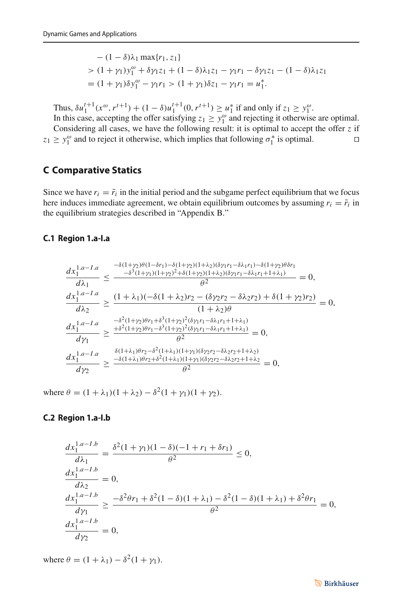$$
-(1 - \delta)\lambda_1 \max\{r_1, z_1\}
$$
  
> 
$$
(1 + \gamma_1)y_1^{\omega} + \delta\gamma_1 z_1 + (1 - \delta)\lambda_1 z_1 - \gamma_1 r_1 - \delta\gamma_1 z_1 - (1 - \delta)\lambda_1 z_1
$$
  
= 
$$
(1 + \gamma_1)\delta y_1^{\omega} - \gamma_1 r_1 > (1 + \gamma_1)\delta z_1 - \gamma_1 r_1 = u_1^*.
$$

Thus,  $\delta u_1^{t+1}(x^{\omega}, r^{t+1}) + (1 - \delta)u_1^{t+1}(0, r^{t+1}) \ge u_1^*$  if and only if  $z_1 \ge y_1^{\omega}$ .

In this case, accepting the offer satisfying  $z_1 \ge y_1^{\omega}$  and rejecting it otherwise are optimal. Considering all cases, we have the following result: it is optimal to accept the offer *z* if  $z_1 \geq y_1^{\omega}$  and to reject it otherwise, which implies that following  $\sigma_1^*$  is optimal.

### **C Comparative Statics**

Since we have  $r_i = \bar{r}_i$  in the initial period and the subgame perfect equilibrium that we focus here induces immediate agreement, we obtain equilibrium outcomes by assuming  $r_i = \bar{r}_i$  in the equilibrium strategies described in "Appendix B."

#### **C.1 Region 1.a-I.a**

$$
\frac{dx_1^{1.a-I.a}}{d\lambda_1} \le \frac{-\delta(1+\gamma_2)\theta(1-\delta r_1)-\delta(1+\gamma_2)(1+\lambda_2)(\delta \gamma_1 r_1-\delta \lambda_1 r_1)-\delta(1+\gamma_2)\theta \delta r_1}{\theta^2} \n= 0,\n\frac{dx_1^{1.a-I.a}}{d\lambda_2} \ge \frac{(1+\lambda_1)(-\delta(1+\lambda_2)r_2-(\delta \gamma_2 r_2-\delta \lambda_2 r_2)+\delta(1+\gamma_2)r_2)}{(1+\lambda_2)\theta} = 0,\n\frac{dx_1^{1.a-I.a}}{d\gamma_1} \ge \frac{-\delta^2(1+\gamma_2)\theta r_1+\delta^3(1+\gamma_2)^2(\delta \gamma_1 r_1-\delta \lambda_1 r_1+1+\lambda_1)}{\theta^2} \n= \frac{-\delta^2(1+\gamma_2)\theta r_1+\delta^3(1+\gamma_2)^2(\delta \gamma_1 r_1-\delta \lambda_1 r_1+1+\lambda_1)}{\theta^2} = 0,\n\frac{dx_1^{1.a-I.a}}{d\gamma_1} \ge \frac{\frac{\delta(1+\lambda_1)\theta r_2-\delta^3(1+\lambda_2)^2(\delta \gamma_1 r_1-\delta \lambda_1 r_1+1+\lambda_1)}{\theta^2}}{\theta^2} = 0,\n\frac{dx_1^{1.a-I.a}}{d\gamma_2} \ge \frac{-\delta(1+\lambda_1)\theta r_2+\delta^2(1+\lambda_1)(1+\gamma_1)(\delta \gamma_2 r_2-\delta \lambda_2 r_2+1+\lambda_2)}{\theta^2} = 0,
$$

where  $\theta = (1 + \lambda_1)(1 + \lambda_2) - \delta^2(1 + \gamma_1)(1 + \gamma_2)$ .

### **C.2 Region 1.a-I.b**

$$
\frac{dx_1^{1.a-Lb}}{d\lambda_1} = \frac{\delta^2 (1+\gamma_1)(1-\delta)(-1+r_1+\delta r_1)}{\theta^2} \le 0,
$$
  
\n
$$
\frac{dx_1^{1.a-Lb}}{d\lambda_2} = 0,
$$
  
\n
$$
\frac{dx_1^{1.a-Lb}}{d\gamma_1} \ge \frac{-\delta^2 \theta r_1 + \delta^2 (1-\delta)(1+\lambda_1) - \delta^2 (1-\delta)(1+\lambda_1) + \delta^2 \theta r_1}{\theta^2} = 0,
$$
  
\n
$$
\frac{dx_1^{1.a-Lb}}{d\gamma_2} = 0,
$$

where  $\theta = (1 + \lambda_1) - \delta^2 (1 + \gamma_1)$ .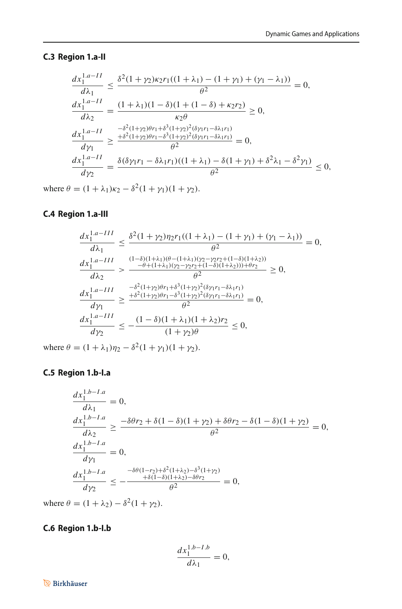### **C.3 Region 1.a-II**

$$
\frac{dx_1^{1.a-II}}{d\lambda_1} \le \frac{\delta^2 (1+\gamma_2)\kappa_2 r_1((1+\lambda_1)-(1+\gamma_1)+(\gamma_1-\lambda_1))}{\theta^2} = 0,
$$
  
\n
$$
\frac{dx_1^{1.a-II}}{d\lambda_2} = \frac{(1+\lambda_1)(1-\delta)(1+(1-\delta)+\kappa_2r_2)}{\kappa_2 \theta} \ge 0,
$$
  
\n
$$
\frac{dx_1^{1.a-II}}{d\gamma_1} \ge \frac{-\delta^2 (1+\gamma_2)\theta r_1 + \delta^3 (1+\gamma_2)^2(\delta\gamma_1 r_1 - \delta\lambda_1 r_1)}{\theta^2} = 0,
$$
  
\n
$$
\frac{dx_1^{1.a-II}}{d\gamma_2} = \frac{\delta(\delta\gamma_1 r_1 - \delta\lambda_1 r_1)((1+\lambda_1) - \delta(1+\gamma_1) + \delta^2\lambda_1 - \delta^2\gamma_1)}{\theta^2} \le 0,
$$

where  $\theta = (1 + \lambda_1)\kappa_2 - \delta^2(1 + \gamma_1)(1 + \gamma_2)$ .

## **C.4 Region 1.a-III**

$$
\frac{dx_1^{1.a-III}}{d\lambda_1} \le \frac{\delta^2 (1+\gamma_2)\eta_2 r_1((1+\lambda_1)-(1+\gamma_1)+(\gamma_1-\lambda_1))}{\theta^2} = 0,
$$
  
\n
$$
\frac{dx_1^{1.a-III}}{d\lambda_2} > \frac{\frac{(1-\delta)(1+\lambda_1)(\theta-(1+\lambda_1)(\gamma_2-\gamma_2 r_2+(1-\delta)(1+\lambda_2))}{\theta^2} + \frac{-(\theta+(1+\lambda_1)(\gamma_2-\gamma_2 r_2+(1-\delta)(1+\lambda_2))) + \theta r_2}{\theta^2}}{2} \ge 0,
$$
  
\n
$$
\frac{dx_1^{1.a-III}}{d\gamma_1} \ge \frac{\frac{-\delta^2(1+\gamma_2)\theta r_1+\delta^3(1+\gamma_2)^2(\delta\gamma_1 r_1-\delta\lambda_1 r_1)}{\theta^2}}{\theta^2} = 0,
$$
  
\n
$$
\frac{dx_1^{1.a-III}}{d\gamma_2} \le -\frac{(1-\delta)(1+\lambda_1)(1+\lambda_2)r_2}{(1+\gamma_2)\theta} \le 0,
$$

where  $\theta = (1 + \lambda_1)\eta_2 - \delta^2(1 + \gamma_1)(1 + \gamma_2)$ .

### **C.5 Region 1.b-I.a**

$$
\frac{dx_1^{1.b-I.a}}{d\lambda_1} = 0,
$$
\n
$$
\frac{dx_1^{1.b-I.a}}{d\lambda_2} \ge \frac{-\delta\theta r_2 + \delta(1-\delta)(1+\gamma_2) + \delta\theta r_2 - \delta(1-\delta)(1+\gamma_2)}{\theta^2} = 0,
$$
\n
$$
\frac{dx_1^{1.b-I.a}}{d\gamma_1} = 0,
$$
\n
$$
\frac{dx_1^{1.b-I.a}}{d\gamma_2} \le -\frac{\frac{-\delta\theta(1-r_2) + \delta^2(1+\lambda_2) - \delta^3(1+\gamma_2)}{\theta^2}}{\theta^2} = 0,
$$

where  $\theta = (1 + \lambda_2) - \delta^2 (1 + \gamma_2)$ .

## **C.6 Region 1.b-I.b**

$$
\frac{dx_1^{1.b-I.b}}{d\lambda_1} = 0,
$$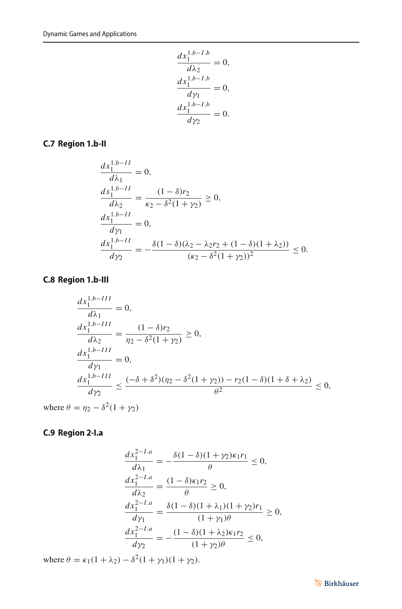$$
\frac{dx_1^{1.b - I.b}}{dx_2} = 0,
$$
  
\n
$$
\frac{dx_1^{1.b - I.b}}{dy_1} = 0,
$$
  
\n
$$
\frac{dx_1^{1.b - I.b}}{dy_2} = 0.
$$

### **C.7 Region 1.b-II**

$$
\frac{dx_1^{1.b-II}}{d\lambda_1} = 0,
$$
\n
$$
\frac{dx_1^{1.b-II}}{d\lambda_2} = \frac{(1-\delta)r_2}{\kappa_2 - \delta^2(1+\gamma_2)} \ge 0,
$$
\n
$$
\frac{dx_1^{1.b-II}}{d\gamma_1} = 0,
$$
\n
$$
\frac{dx_1^{1.b-II}}{d\gamma_2} = -\frac{\delta(1-\delta)(\lambda_2 - \lambda_2r_2 + (1-\delta)(1+\lambda_2))}{(\kappa_2 - \delta^2(1+\gamma_2))^2} \le 0.
$$

## **C.8 Region 1.b-III**

$$
\frac{dx_1^{1,b-III}}{d\lambda_1} = 0,
$$
\n
$$
\frac{dx_1^{1,b-III}}{d\lambda_2} = \frac{(1-\delta)r_2}{\eta_2 - \delta^2(1+\gamma_2)} \ge 0,
$$
\n
$$
\frac{dx_1^{1,b-III}}{d\gamma_1} = 0,
$$
\n
$$
\frac{dx_1^{1,b-III}}{d\gamma_2} \le \frac{(-\delta + \delta^2)(\eta_2 - \delta^2(1+\gamma_2)) - r_2(1-\delta)(1+\delta + \lambda_2)}{\theta^2} \le 0,
$$

where  $\theta = \eta_2 - \delta^2(1 + \gamma_2)$ 

## **C.9 Region 2-I.a**

$$
\frac{dx_1^{2-L,a}}{d\lambda_1} = -\frac{\delta(1-\delta)(1+\gamma_2)\kappa_1r_1}{\theta} \le 0,
$$
  
\n
$$
\frac{dx_1^{2-L,a}}{d\lambda_2} = \frac{(1-\delta)\kappa_1r_2}{\theta} \ge 0,
$$
  
\n
$$
\frac{dx_1^{2-L,a}}{d\gamma_1} = \frac{\delta(1-\delta)(1+\lambda_1)(1+\gamma_2)r_1}{(1+\gamma_1)\theta} \ge 0,
$$
  
\n
$$
\frac{dx_1^{2-L,a}}{d\gamma_2} = -\frac{(1-\delta)(1+\lambda_2)\kappa_1r_2}{(1+\gamma_2)\theta} \le 0,
$$

where  $\theta = \kappa_1(1 + \lambda_2) - \delta^2(1 + \gamma_1)(1 + \gamma_2)$ .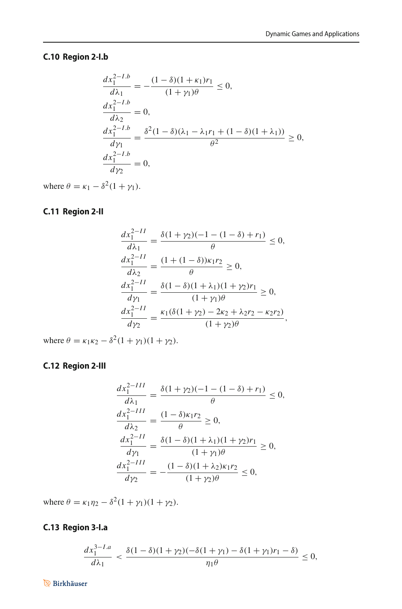## **C.10 Region 2-I.b**

$$
\frac{dx_1^{2-I.b}}{d\lambda_1} = -\frac{(1-\delta)(1+\kappa_1)r_1}{(1+\gamma_1)\theta} \le 0,
$$
  
\n
$$
\frac{dx_1^{2-I.b}}{d\lambda_2} = 0,
$$
  
\n
$$
\frac{dx_1^{2-I.b}}{d\gamma_1} = \frac{\delta^2(1-\delta)(\lambda_1-\lambda_1r_1+(1-\delta)(1+\lambda_1))}{\theta^2} \ge 0,
$$
  
\n
$$
\frac{dx_1^{2-I.b}}{d\gamma_2} = 0,
$$

where  $\theta = \kappa_1 - \delta^2 (1 + \gamma_1)$ .

## **C.11 Region 2-II**

$$
\frac{dx_1^{2-II}}{d\lambda_1} = \frac{\delta(1+\gamma_2)(-1-(1-\delta)+r_1)}{\theta} \le 0,
$$
  
\n
$$
\frac{dx_1^{2-II}}{d\lambda_2} = \frac{(1+(1-\delta)\kappa_1r_2}{\theta} \ge 0,
$$
  
\n
$$
\frac{dx_1^{2-II}}{d\gamma_1} = \frac{\delta(1-\delta)(1+\lambda_1)(1+\gamma_2)r_1}{(1+\gamma_1)\theta} \ge 0,
$$
  
\n
$$
\frac{dx_1^{2-II}}{d\gamma_2} = \frac{\kappa_1(\delta(1+\gamma_2)-2\kappa_2+\lambda_2r_2-\kappa_2r_2)}{(1+\gamma_2)\theta},
$$

where  $\theta = \kappa_1 \kappa_2 - \delta^2 (1 + \gamma_1)(1 + \gamma_2)$ .

## **C.12 Region 2-III**

$$
\frac{dx_1^{2-III}}{d\lambda_1} = \frac{\delta(1+\gamma_2)(-1-(1-\delta)+r_1)}{\theta} \le 0,
$$
  
\n
$$
\frac{dx_1^{2-III}}{d\lambda_2} = \frac{(1-\delta)\kappa_1 r_2}{\theta} \ge 0,
$$
  
\n
$$
\frac{dx_1^{2-II}}{d\gamma_1} = \frac{\delta(1-\delta)(1+\lambda_1)(1+\gamma_2)r_1}{(1+\gamma_1)\theta} \ge 0,
$$
  
\n
$$
\frac{dx_1^{2-III}}{d\gamma_2} = -\frac{(1-\delta)(1+\lambda_2)\kappa_1 r_2}{(1+\gamma_2)\theta} \le 0,
$$

where  $\theta = \kappa_1 \eta_2 - \delta^2 (1 + \gamma_1)(1 + \gamma_2)$ .

## **C.13 Region 3-I.a**

$$
\frac{dx_1^{3-I.a}}{d\lambda_1} < \frac{\delta(1-\delta)(1+\gamma_2)(-\delta(1+\gamma_1)-\delta(1+\gamma_1)r_1-\delta)}{\eta_1\theta} \le 0,
$$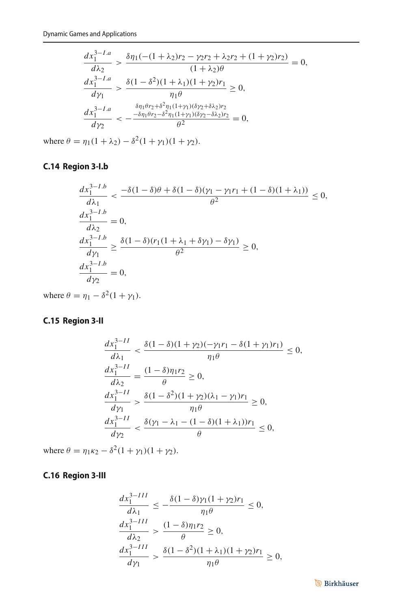$$
\frac{dx_1^{3-L,a}}{d\lambda_2} > \frac{\delta \eta_1(-(1+\lambda_2)r_2 - \gamma_2r_2 + \lambda_2r_2 + (1+\gamma_2)r_2)}{(1+\lambda_2)\theta} = 0,
$$
  
\n
$$
\frac{dx_1^{3-L,a}}{d\gamma_1} > \frac{\delta(1-\delta^2)(1+\lambda_1)(1+\gamma_2)r_1}{\eta_1\theta} \ge 0,
$$
  
\n
$$
\frac{dx_1^{3-L,a}}{d\gamma_2} < -\frac{\delta \eta_1\theta r_2 + \delta^2 \eta_1(1+\gamma_1)(\delta\gamma_2 + \delta\lambda_2)r_2}{\theta^2} = 0,
$$

where  $\theta = \eta_1(1 + \lambda_2) - \delta^2(1 + \gamma_1)(1 + \gamma_2)$ .

## **C.14 Region 3-I.b**

$$
\frac{dx_1^{3-Lb}}{d\lambda_1} < \frac{-\delta(1-\delta)\theta + \delta(1-\delta)(\gamma_1 - \gamma_1 r_1 + (1-\delta)(1+\lambda_1))}{\theta^2} \le 0,
$$
  
\n
$$
\frac{dx_1^{3-Lb}}{d\lambda_2} = 0,
$$
  
\n
$$
\frac{dx_1^{3-Lb}}{d\gamma_1} \ge \frac{\delta(1-\delta)(r_1(1+\lambda_1+\delta\gamma_1) - \delta\gamma_1)}{\theta^2} \ge 0,
$$
  
\n
$$
\frac{dx_1^{3-Lb}}{d\gamma_2} = 0,
$$

where  $\theta = \eta_1 - \delta^2 (1 + \gamma_1)$ .

## **C.15 Region 3-II**

$$
\frac{dx_1^{3-II}}{d\lambda_1} < \frac{\delta(1-\delta)(1+\gamma_2)(-\gamma_1 r_1 - \delta(1+\gamma_1) r_1)}{\eta_1 \theta} \le 0,
$$
\n
$$
\frac{dx_1^{3-II}}{d\lambda_2} = \frac{(1-\delta)\eta_1 r_2}{\theta} \ge 0,
$$
\n
$$
\frac{dx_1^{3-II}}{d\gamma_1} > \frac{\delta(1-\delta^2)(1+\gamma_2)(\lambda_1 - \gamma_1) r_1}{\eta_1 \theta} \ge 0,
$$
\n
$$
\frac{dx_1^{3-II}}{d\gamma_2} < \frac{\delta(\gamma_1 - \lambda_1 - (1-\delta)(1+\lambda_1)) r_1}{\theta} \le 0,
$$

where  $\theta = \eta_1 \kappa_2 - \delta^2 (1 + \gamma_1)(1 + \gamma_2)$ .

## **C.16 Region 3-III**

$$
\frac{dx_1^{3-III}}{d\lambda_1} \le -\frac{\delta(1-\delta)\gamma_1(1+\gamma_2)r_1}{\eta_1\theta} \le 0,
$$
  

$$
\frac{dx_1^{3-III}}{d\lambda_2} > \frac{(1-\delta)\eta_1r_2}{\theta} \ge 0,
$$
  

$$
\frac{dx_1^{3-III}}{d\gamma_1} > \frac{\delta(1-\delta^2)(1+\lambda_1)(1+\gamma_2)r_1}{\eta_1\theta} \ge 0,
$$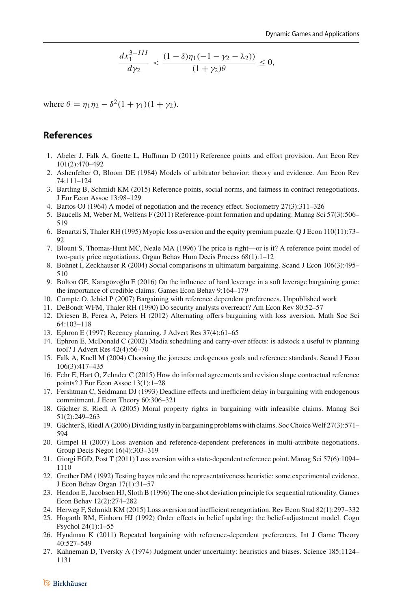$$
\frac{dx_1^{3-III}}{dy_2} < \frac{(1-\delta)\eta_1(-1-\gamma_2-\lambda_2))}{(1+\gamma_2)\theta} \le 0,
$$

where  $\theta = \eta_1 \eta_2 - \delta^2 (1 + \gamma_1)(1 + \gamma_2)$ .

#### **References**

- <span id="page-35-21"></span>1. Abeler J, Falk A, Goette L, Huffman D (2011) Reference points and effort provision. Am Econ Rev 101(2):470–492
- <span id="page-35-0"></span>2. Ashenfelter O, Bloom DE (1984) Models of arbitrator behavior: theory and evidence. Am Econ Rev 74:111–124
- <span id="page-35-6"></span>3. Bartling B, Schmidt KM (2015) Reference points, social norms, and fairness in contract renegotiations. J Eur Econ Assoc 13:98–129
- <span id="page-35-13"></span>4. Bartos OJ (1964) A model of negotiation and the recency effect. Sociometry 27(3):311–326
- <span id="page-35-22"></span>5. Baucells M, Weber M, Welfens F (2011) Reference-point formation and updating. Manag Sci 57(3):506– 519
- <span id="page-35-18"></span>6. Benartzi S, Thaler RH (1995) Myopic loss aversion and the equity premium puzzle. Q J Econ 110(11):73– 92
- <span id="page-35-1"></span>7. Blount S, Thomas-Hunt MC, Neale MA (1996) The price is right—or is it? A reference point model of two-party price negotiations. Organ Behav Hum Decis Process 68(1):1–12
- <span id="page-35-2"></span>8. Bohnet I, Zeckhauser R (2004) Social comparisons in ultimatum bargaining. Scand J Econ 106(3):495– 510
- <span id="page-35-9"></span>9. Bolton GE, Karagözoğlu E (2016) On the influence of hard leverage in a soft leverage bargaining game: the importance of credible claims. Games Econ Behav 9:164–179
- <span id="page-35-19"></span>10. Compte O, Jehiel P (2007) Bargaining with reference dependent preferences. Unpublished work
- <span id="page-35-14"></span>11. DeBondt WFM, Thaler RH (1990) Do security analysts overreact? Am Econ Rev 80:52–57
- <span id="page-35-10"></span>12. Driesen B, Perea A, Peters H (2012) Alternating offers bargaining with loss aversion. Math Soc Sci 64:103–118
- <span id="page-35-16"></span>13. Ephron E (1997) Recency planning. J Advert Res 37(4):61–65
- <span id="page-35-17"></span>14. Ephron E, McDonald C (2002) Media scheduling and carry-over effects: is adstock a useful tv planning tool? J Advert Res 42(4):66–70
- <span id="page-35-20"></span>15. Falk A, Knell M (2004) Choosing the joneses: endogenous goals and reference standards. Scand J Econ 106(3):417–435
- <span id="page-35-8"></span>16. Fehr E, Hart O, Zehnder C (2015) How do informal agreements and revision shape contractual reference points? J Eur Econ Assoc 13(1):1–28
- <span id="page-35-25"></span>17. Fershtman C, Seidmann DJ (1993) Deadline effects and inefficient delay in bargaining with endogenous commitment. J Econ Theory 60:306–321
- <span id="page-35-3"></span>18. Gächter S, Riedl A (2005) Moral property rights in bargaining with infeasible claims. Manag Sci 51(2):249–263
- <span id="page-35-4"></span>19. Gächter S, Riedl A (2006) Dividing justly in bargaining problems with claims. Soc ChoiceWelf 27(3):571– 594
- <span id="page-35-5"></span>20. Gimpel H (2007) Loss aversion and reference-dependent preferences in multi-attribute negotiations. Group Decis Negot 16(4):303–319
- <span id="page-35-23"></span>21. Giorgi EGD, Post T (2011) Loss aversion with a state-dependent reference point. Manag Sci 57(6):1094– 1110
- <span id="page-35-15"></span>22. Grether DM (1992) Testing bayes rule and the representativeness heuristic: some experimental evidence. J Econ Behav Organ 17(1):31–57
- <span id="page-35-26"></span>23. Hendon E, Jacobsen HJ, Sloth B (1996) The one-shot deviation principle for sequential rationality. Games Econ Behav 12(2):274–282
- <span id="page-35-7"></span>24. Herweg F, Schmidt KM (2015) Loss aversion and inefficient renegotiation. Rev Econ Stud 82(1):297–332
- <span id="page-35-12"></span>25. Hogarth RM, Einhorn HJ (1992) Order effects in belief updating: the belief-adjustment model. Cogn Psychol 24(1):1–55
- <span id="page-35-24"></span>26. Hyndman K (2011) Repeated bargaining with reference-dependent preferences. Int J Game Theory 40:527–549
- <span id="page-35-11"></span>27. Kahneman D, Tversky A (1974) Judgment under uncertainty: heuristics and biases. Science 185:1124– 1131